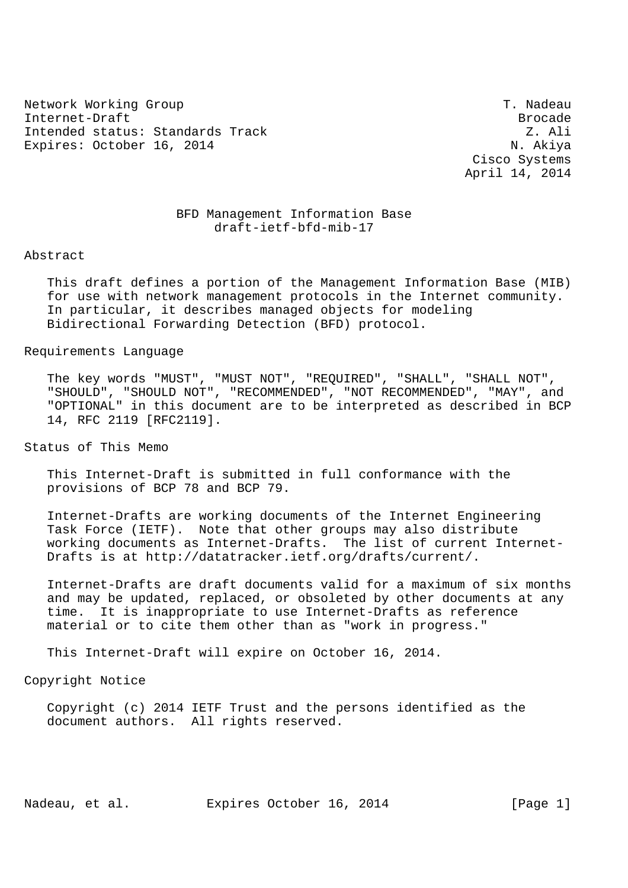Network Working Group T. Nadeau Internet-Draft Brocade Intended status: Standards Track Z. Ali Expires: October 16, 2014 N. Akiya

 Cisco Systems April 14, 2014

## BFD Management Information Base draft-ietf-bfd-mib-17

Abstract

 This draft defines a portion of the Management Information Base (MIB) for use with network management protocols in the Internet community. In particular, it describes managed objects for modeling Bidirectional Forwarding Detection (BFD) protocol.

Requirements Language

 The key words "MUST", "MUST NOT", "REQUIRED", "SHALL", "SHALL NOT", "SHOULD", "SHOULD NOT", "RECOMMENDED", "NOT RECOMMENDED", "MAY", and "OPTIONAL" in this document are to be interpreted as described in BCP 14, RFC 2119 [RFC2119].

Status of This Memo

 This Internet-Draft is submitted in full conformance with the provisions of BCP 78 and BCP 79.

 Internet-Drafts are working documents of the Internet Engineering Task Force (IETF). Note that other groups may also distribute working documents as Internet-Drafts. The list of current Internet- Drafts is at http://datatracker.ietf.org/drafts/current/.

 Internet-Drafts are draft documents valid for a maximum of six months and may be updated, replaced, or obsoleted by other documents at any time. It is inappropriate to use Internet-Drafts as reference material or to cite them other than as "work in progress."

This Internet-Draft will expire on October 16, 2014.

Copyright Notice

 Copyright (c) 2014 IETF Trust and the persons identified as the document authors. All rights reserved.

Nadeau, et al. Expires October 16, 2014 [Page 1]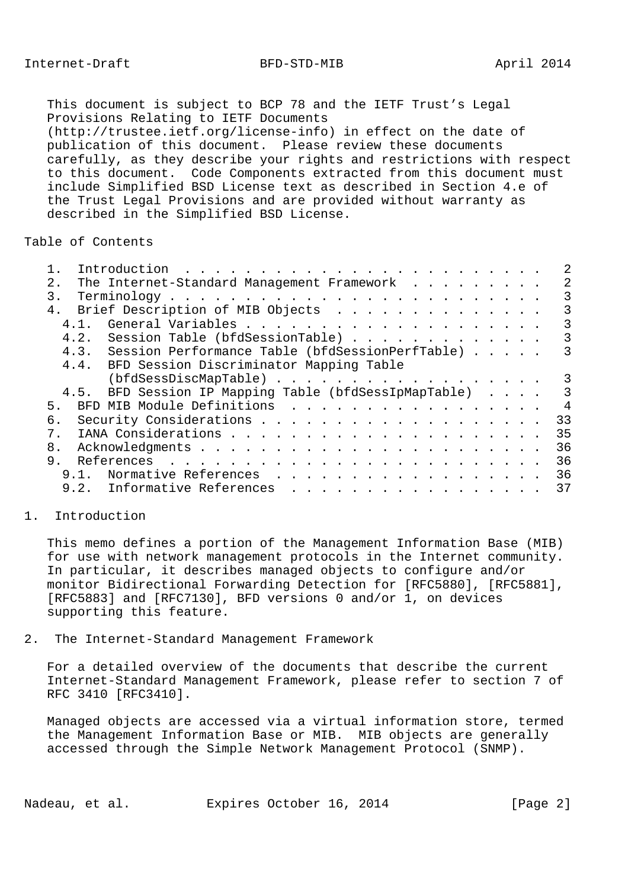This document is subject to BCP 78 and the IETF Trust's Legal Provisions Relating to IETF Documents (http://trustee.ietf.org/license-info) in effect on the date of publication of this document. Please review these documents carefully, as they describe your rights and restrictions with respect to this document. Code Components extracted from this document must include Simplified BSD License text as described in Section 4.e of the Trust Legal Provisions and are provided without warranty as described in the Simplified BSD License.

## Table of Contents

| The Internet-Standard Management Framework<br>2.1     | 2              |
|-------------------------------------------------------|----------------|
| 3.                                                    | 3              |
| Brief Description of MIB Objects<br>4.                | 3              |
| 4, 1,                                                 | 3              |
| 4.2. Session Table (bfdSessionTable)                  | 3              |
| 4.3. Session Performance Table (bfdSessionPerfTable)  | 3              |
| 4.4. BFD Session Discriminator Mapping Table          |                |
| (bfdSessDiscMapTable)                                 | 3              |
| 4.5. BFD Session IP Mapping Table (bfdSessIpMapTable) | 3              |
| BFD MIB Module Definitions<br>5 <sub>1</sub>          | $\overline{4}$ |
| б.                                                    | 33             |
| $7_{\odot}$                                           | 35             |
| 8.                                                    | 36             |
| 9.                                                    | 36             |
| 9.1. Normative References                             | 36             |
| 9.2. Informative References                           | 37             |
|                                                       |                |

## 1. Introduction

 This memo defines a portion of the Management Information Base (MIB) for use with network management protocols in the Internet community. In particular, it describes managed objects to configure and/or monitor Bidirectional Forwarding Detection for [RFC5880], [RFC5881], [RFC5883] and [RFC7130], BFD versions 0 and/or 1, on devices supporting this feature.

2. The Internet-Standard Management Framework

 For a detailed overview of the documents that describe the current Internet-Standard Management Framework, please refer to section 7 of RFC 3410 [RFC3410].

 Managed objects are accessed via a virtual information store, termed the Management Information Base or MIB. MIB objects are generally accessed through the Simple Network Management Protocol (SNMP).

Nadeau, et al. Expires October 16, 2014 [Page 2]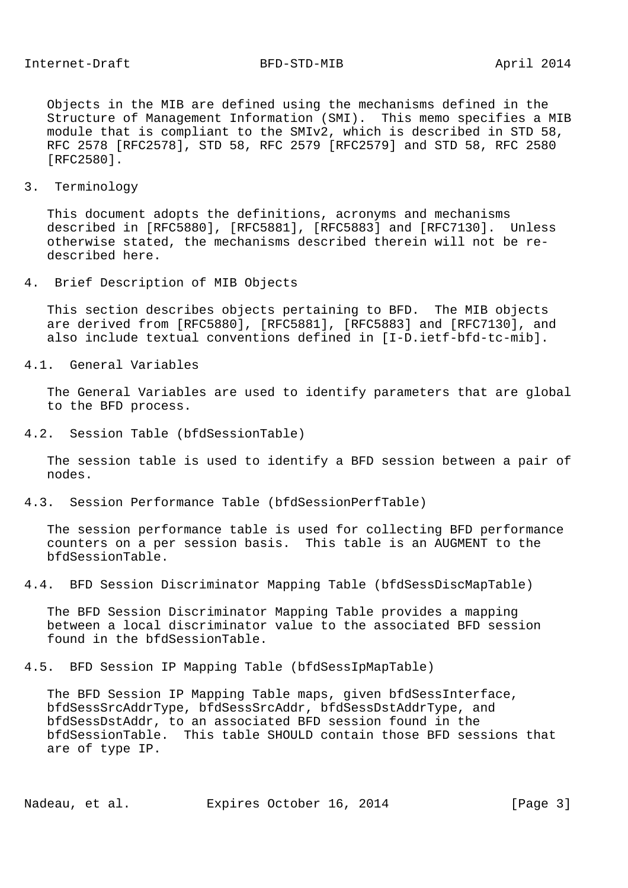Objects in the MIB are defined using the mechanisms defined in the Structure of Management Information (SMI). This memo specifies a MIB module that is compliant to the SMIv2, which is described in STD 58, RFC 2578 [RFC2578], STD 58, RFC 2579 [RFC2579] and STD 58, RFC 2580 [RFC2580].

3. Terminology

 This document adopts the definitions, acronyms and mechanisms described in [RFC5880], [RFC5881], [RFC5883] and [RFC7130]. Unless otherwise stated, the mechanisms described therein will not be re described here.

4. Brief Description of MIB Objects

 This section describes objects pertaining to BFD. The MIB objects are derived from [RFC5880], [RFC5881], [RFC5883] and [RFC7130], and also include textual conventions defined in [I-D.ietf-bfd-tc-mib].

4.1. General Variables

 The General Variables are used to identify parameters that are global to the BFD process.

4.2. Session Table (bfdSessionTable)

 The session table is used to identify a BFD session between a pair of nodes.

4.3. Session Performance Table (bfdSessionPerfTable)

 The session performance table is used for collecting BFD performance counters on a per session basis. This table is an AUGMENT to the bfdSessionTable.

4.4. BFD Session Discriminator Mapping Table (bfdSessDiscMapTable)

 The BFD Session Discriminator Mapping Table provides a mapping between a local discriminator value to the associated BFD session found in the bfdSessionTable.

4.5. BFD Session IP Mapping Table (bfdSessIpMapTable)

 The BFD Session IP Mapping Table maps, given bfdSessInterface, bfdSessSrcAddrType, bfdSessSrcAddr, bfdSessDstAddrType, and bfdSessDstAddr, to an associated BFD session found in the bfdSessionTable. This table SHOULD contain those BFD sessions that are of type IP.

Nadeau, et al. Expires October 16, 2014 [Page 3]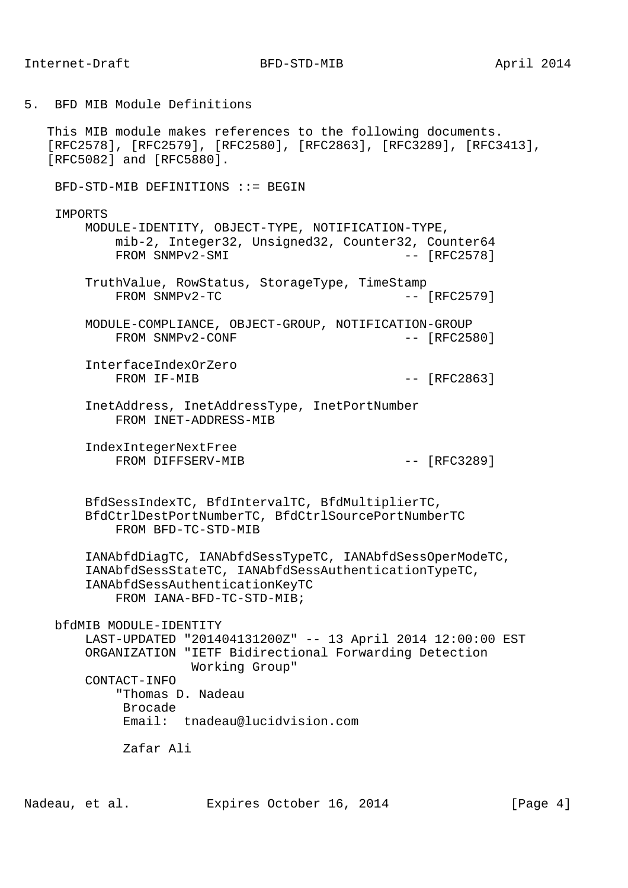5. BFD MIB Module Definitions

 This MIB module makes references to the following documents. [RFC2578], [RFC2579], [RFC2580], [RFC2863], [RFC3289], [RFC3413], [RFC5082] and [RFC5880].

BFD-STD-MIB DEFINITIONS ::= BEGIN

**TMPORTS** 

 MODULE-IDENTITY, OBJECT-TYPE, NOTIFICATION-TYPE, mib-2, Integer32, Unsigned32, Counter32, Counter64 FROM SNMPv2-SMI  $-$  [RFC2578]

- TruthValue, RowStatus, StorageType, TimeStamp FROM SNMPv2-TC  $-$  [RFC2579]
- MODULE-COMPLIANCE, OBJECT-GROUP, NOTIFICATION-GROUP FROM SNMPv2-CONF  $---$  [RFC2580]

 InterfaceIndexOrZero FROM IF-MIB  $-$  [RFC2863]

 InetAddress, InetAddressType, InetPortNumber FROM INET-ADDRESS-MIB

 IndexIntegerNextFree FROM DIFFSERV-MIB  $-$  [RFC3289]

 BfdSessIndexTC, BfdIntervalTC, BfdMultiplierTC, BfdCtrlDestPortNumberTC, BfdCtrlSourcePortNumberTC FROM BFD-TC-STD-MIB

 IANAbfdDiagTC, IANAbfdSessTypeTC, IANAbfdSessOperModeTC, IANAbfdSessStateTC, IANAbfdSessAuthenticationTypeTC, IANAbfdSessAuthenticationKeyTC FROM IANA-BFD-TC-STD-MIB;

bfdMIB MODULE-IDENTITY

 LAST-UPDATED "201404131200Z" -- 13 April 2014 12:00:00 EST ORGANIZATION "IETF Bidirectional Forwarding Detection Working Group"

 CONTACT-INFO "Thomas D. Nadeau

Brocade

Email: tnadeau@lucidvision.com

Zafar Ali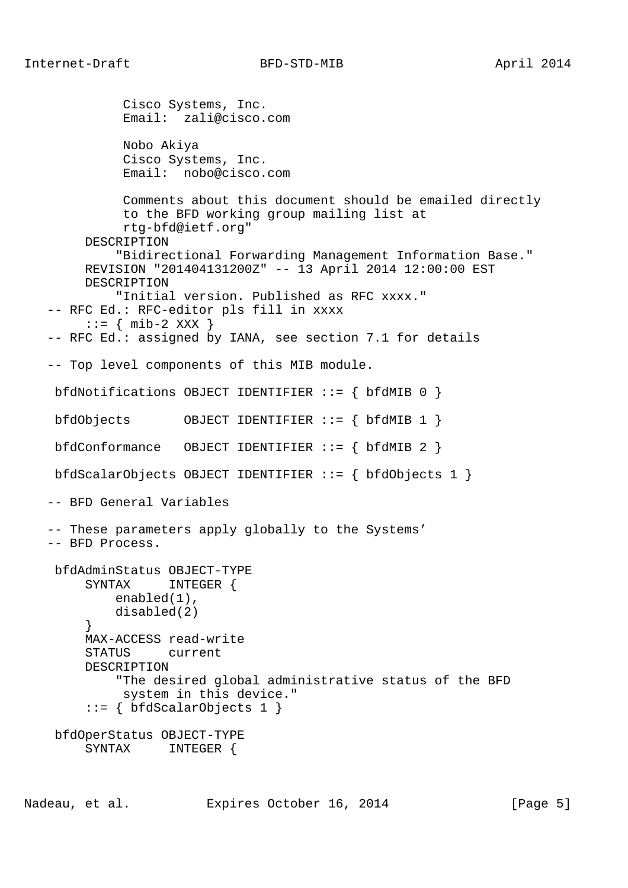```
 Cisco Systems, Inc.
           Email: zali@cisco.com
           Nobo Akiya
           Cisco Systems, Inc.
           Email: nobo@cisco.com
           Comments about this document should be emailed directly
           to the BFD working group mailing list at
           rtg-bfd@ietf.org"
      DESCRIPTION
          "Bidirectional Forwarding Management Information Base."
      REVISION "201404131200Z" -- 13 April 2014 12:00:00 EST
      DESCRIPTION
          "Initial version. Published as RFC xxxx."
 -- RFC Ed.: RFC-editor pls fill in xxxx
    ::= { mib-2 XXX }
 -- RFC Ed.: assigned by IANA, see section 7.1 for details
 -- Top level components of this MIB module.
 bfdNotifications OBJECT IDENTIFIER ::= { bfdMIB 0 }
 bfdObjects OBJECT IDENTIFIER ::= { bfdMIB 1 }
 bfdConformance OBJECT IDENTIFIER ::= { bfdMIB 2 }
 bfdScalarObjects OBJECT IDENTIFIER ::= { bfdObjects 1 }
 -- BFD General Variables
 -- These parameters apply globally to the Systems'
 -- BFD Process.
 bfdAdminStatus OBJECT-TYPE
      SYNTAX INTEGER {
          enabled(1),
         disabled(2)
      }
      MAX-ACCESS read-write
      STATUS current
     DESCRIPTION
          "The desired global administrative status of the BFD
           system in this device."
      ::= { bfdScalarObjects 1 }
 bfdOperStatus OBJECT-TYPE
      SYNTAX INTEGER {
```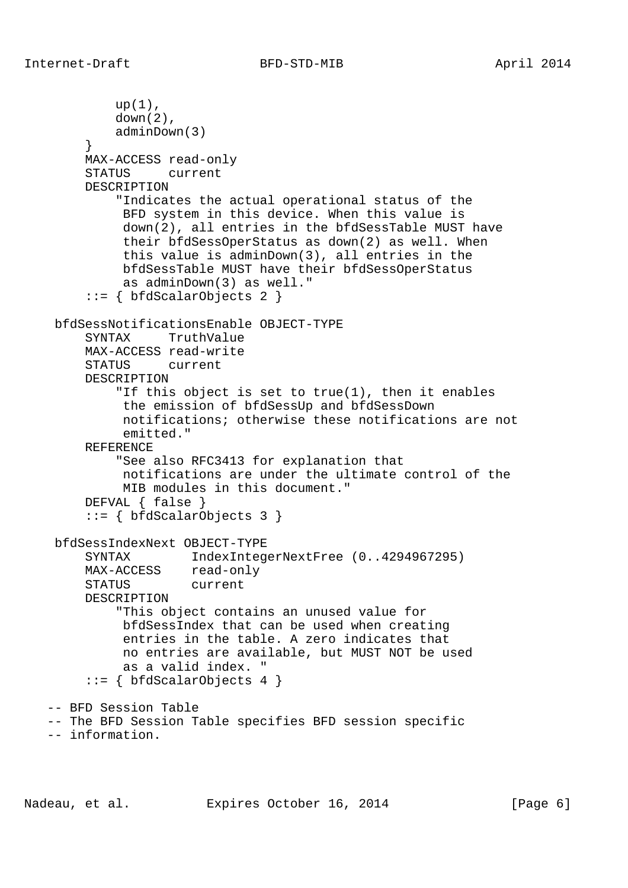```
up(1),
            down(2),
            adminDown(3)
 }
        MAX-ACCESS read-only
        STATUS current
        DESCRIPTION
             "Indicates the actual operational status of the
             BFD system in this device. When this value is
             down(2), all entries in the bfdSessTable MUST have
             their bfdSessOperStatus as down(2) as well. When
             this value is adminDown(3), all entries in the
             bfdSessTable MUST have their bfdSessOperStatus
             as adminDown(3) as well."
         ::= { bfdScalarObjects 2 }
    bfdSessNotificationsEnable OBJECT-TYPE
        SYNTAX TruthValue
        MAX-ACCESS read-write
        STATUS current
        DESCRIPTION
             "If this object is set to true(1), then it enables
             the emission of bfdSessUp and bfdSessDown
             notifications; otherwise these notifications are not
             emitted."
        REFERENCE
            "See also RFC3413 for explanation that
             notifications are under the ultimate control of the
             MIB modules in this document."
        DEFVAL { false }
         ::= { bfdScalarObjects 3 }
    bfdSessIndexNext OBJECT-TYPE
        SYNTAX IndexIntegerNextFree (0..4294967295)
MAX-ACCESS read-only
 STATUS current
        DESCRIPTION
             "This object contains an unused value for
             bfdSessIndex that can be used when creating
             entries in the table. A zero indicates that
             no entries are available, but MUST NOT be used
             as a valid index. "
        ::= \{ bfdScalarObjects 4 \} -- BFD Session Table
   -- The BFD Session Table specifies BFD session specific
   -- information.
```
Nadeau, et al. Expires October 16, 2014 [Page 6]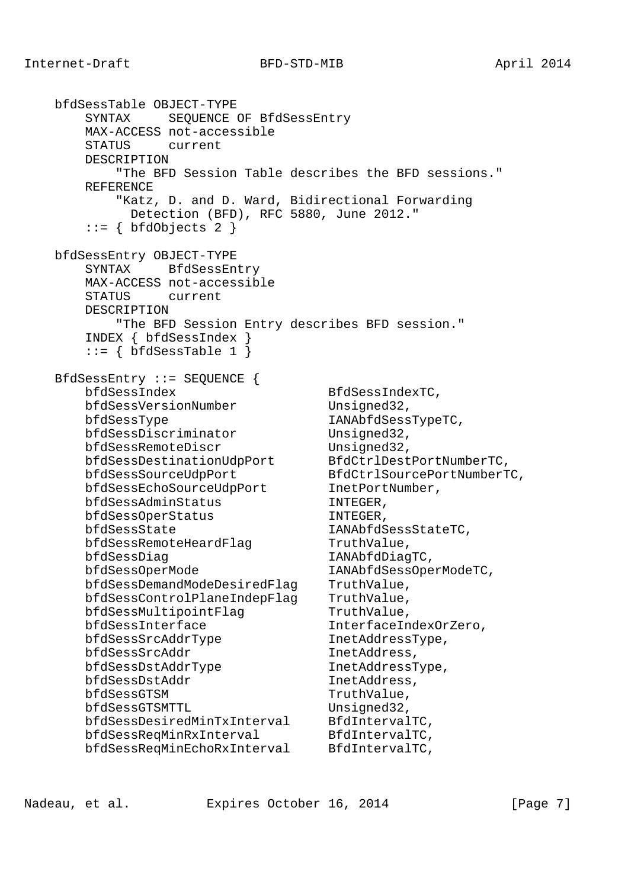bfdSessTable OBJECT-TYPE SYNTAX SEQUENCE OF BfdSessEntry MAX-ACCESS not-accessible STATUS current DESCRIPTION "The BFD Session Table describes the BFD sessions." REFERENCE "Katz, D. and D. Ward, Bidirectional Forwarding Detection (BFD), RFC 5880, June 2012."  $::=$  { bfdObjects 2 } bfdSessEntry OBJECT-TYPE SYNTAX BfdSessEntry MAX-ACCESS not-accessible STATUS current DESCRIPTION "The BFD Session Entry describes BFD session." INDEX { bfdSessIndex }  $::=$  { bfdSessTable 1 } BfdSessEntry ::= SEQUENCE { bfdSessIndex BfdSessIndexTC, bfdSessVersionNumber Unsigned32, bfdSessType IANAbfdSessTypeTC, bfdSessDiscriminator Unsigned32, bfdSessRemoteDiscr Unsigned32, bfdSessDestinationUdpPort BfdCtrlDestPortNumberTC, bfdSessSourceUdpPort BfdCtrlSourcePortNumberTC, bfdSessEchoSourceUdpPort InetPortNumber, bfdSessAdminStatus INTEGER, bfdSessOperStatus INTEGER, bfdSessState IANAbfdSessStateTC, bfdSessRemoteHeardFlag TruthValue, bfdSessDiag 1ANAbfdDiagTC, bfdSessOperMode IANAbfdSessOperModeTC, bfdSessDemandModeDesiredFlag TruthValue, bfdSessControlPlaneIndepFlag TruthValue, bfdSessMultipointFlag TruthValue, bfdSessInterface InterfaceIndexOrZero, bfdSessSrcAddrType InetAddressType, bfdSessSrcAddr InetAddress, bfdSessDstAddrType InetAddressType, bfdSessDstAddr InetAddress, bfdSessGTSM TruthValue, bfdSessGTSMTTL Unsigned32, bfdSessDesiredMinTxInterval BfdIntervalTC, bfdSessReqMinRxInterval BfdIntervalTC, bfdSessReqMinEchoRxInterval BfdIntervalTC,

Nadeau, et al. Expires October 16, 2014 [Page 7]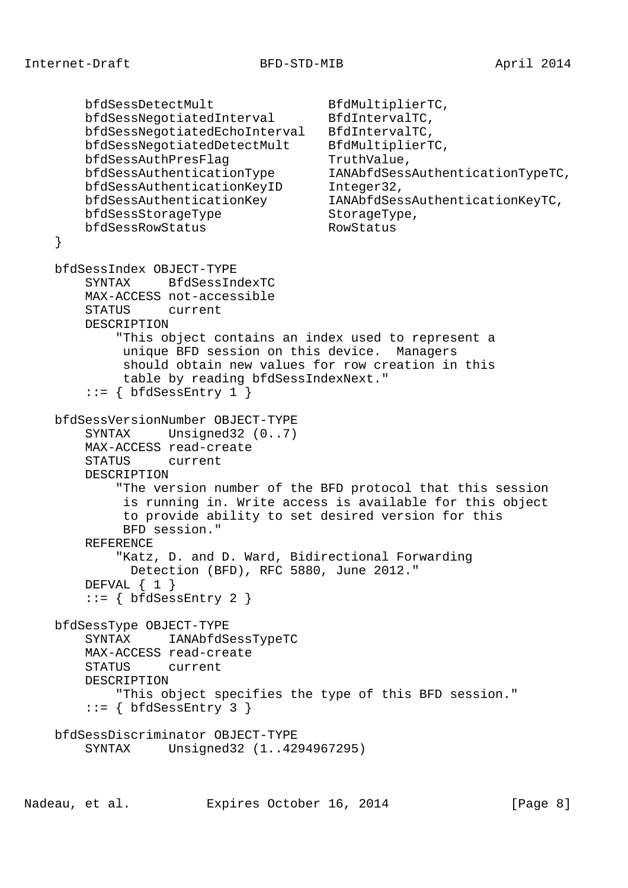```
bfdSessDetectMult BfdMultiplierTC,
    bfdSessNegotiatedInterval BfdIntervalTC,
     bfdSessNegotiatedEchoInterval BfdIntervalTC,
    bfdSessNegotiatedDetectMult BfdMultiplierTC,
   bfdSessAuthPresFlag TruthValue,
    bfdSessAuthenticationType IANAbfdSessAuthenticationTypeTC,
   bfdSessAuthenticationKeyID Integer32,<br>bfdSessAuthenticationKey IANAbfdSes
                                   IANAbfdSessAuthenticationKeyTC,
   bfdSessStorageType StorageType,
    bfdSessRowStatus RowStatus
 }
 bfdSessIndex OBJECT-TYPE
     SYNTAX BfdSessIndexTC
     MAX-ACCESS not-accessible
     STATUS current
     DESCRIPTION
         "This object contains an index used to represent a
         unique BFD session on this device. Managers
          should obtain new values for row creation in this
         table by reading bfdSessIndexNext."
    ::= { bfdSessEntry 1 }
 bfdSessVersionNumber OBJECT-TYPE
    SYNTAX Unsigned32 (0..7)
     MAX-ACCESS read-create
     STATUS current
     DESCRIPTION
         "The version number of the BFD protocol that this session
          is running in. Write access is available for this object
         to provide ability to set desired version for this
         BFD session."
     REFERENCE
         "Katz, D. and D. Ward, Bidirectional Forwarding
          Detection (BFD), RFC 5880, June 2012."
    DEFVAL \{ 1 \}::= { bfdSessEntry 2 }
 bfdSessType OBJECT-TYPE
     SYNTAX IANAbfdSessTypeTC
     MAX-ACCESS read-create
     STATUS current
     DESCRIPTION
         "This object specifies the type of this BFD session."
    ::= { bfdSessEntry 3 }
 bfdSessDiscriminator OBJECT-TYPE
     SYNTAX Unsigned32 (1..4294967295)
```
Nadeau, et al. Expires October 16, 2014 [Page 8]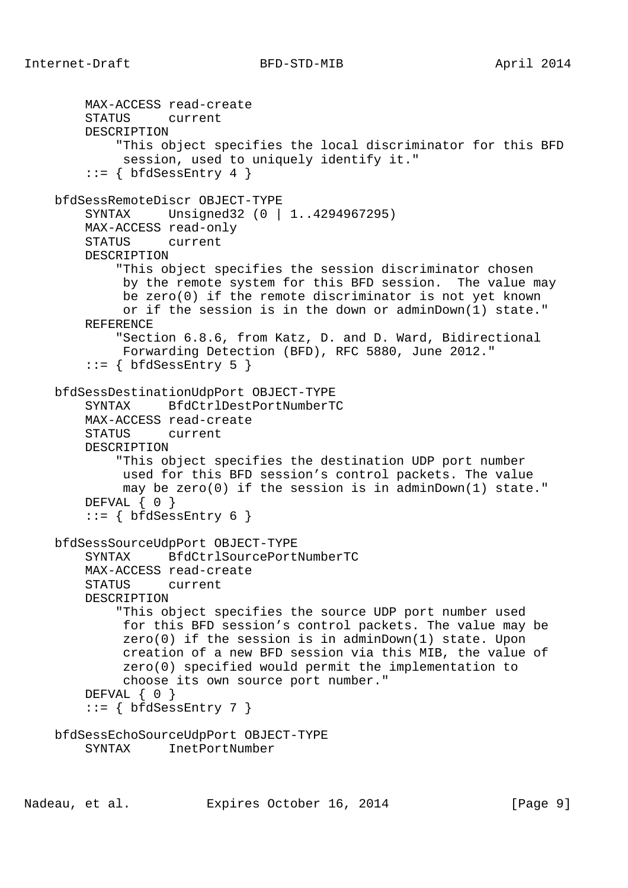```
 MAX-ACCESS read-create
     STATUS current
     DESCRIPTION
         "This object specifies the local discriminator for this BFD
          session, used to uniquely identify it."
    ::= { bfdSessEntry 4 }
 bfdSessRemoteDiscr OBJECT-TYPE
     SYNTAX Unsigned32 (0 | 1..4294967295)
     MAX-ACCESS read-only
     STATUS current
     DESCRIPTION
         "This object specifies the session discriminator chosen
          by the remote system for this BFD session. The value may
          be zero(0) if the remote discriminator is not yet known
          or if the session is in the down or adminDown(1) state."
     REFERENCE
         "Section 6.8.6, from Katz, D. and D. Ward, Bidirectional
         Forwarding Detection (BFD), RFC 5880, June 2012."
    ::= { bfdSessEntry 5 }
 bfdSessDestinationUdpPort OBJECT-TYPE
     SYNTAX BfdCtrlDestPortNumberTC
     MAX-ACCESS read-create
     STATUS current
     DESCRIPTION
         "This object specifies the destination UDP port number
          used for this BFD session's control packets. The value
          may be zero(0) if the session is in adminDown(1) state."
    DEFVAL { 0 }
    ::= { bfdSessEntry 6 }
 bfdSessSourceUdpPort OBJECT-TYPE
     SYNTAX BfdCtrlSourcePortNumberTC
     MAX-ACCESS read-create
     STATUS current
     DESCRIPTION
         "This object specifies the source UDP port number used
          for this BFD session's control packets. The value may be
          zero(0) if the session is in adminDown(1) state. Upon
          creation of a new BFD session via this MIB, the value of
          zero(0) specified would permit the implementation to
          choose its own source port number."
    DEFVAL { 0 }
    ::= { bfdSessEntry 7 }
 bfdSessEchoSourceUdpPort OBJECT-TYPE
     SYNTAX InetPortNumber
```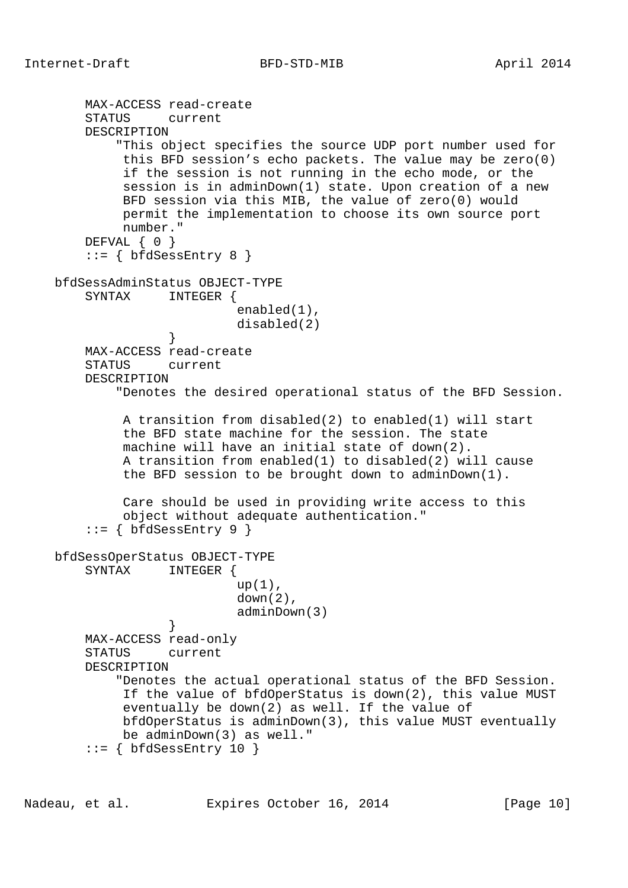```
 MAX-ACCESS read-create
        STATUS current
        DESCRIPTION
            "This object specifies the source UDP port number used for
             this BFD session's echo packets. The value may be zero(0)
             if the session is not running in the echo mode, or the
             session is in adminDown(1) state. Upon creation of a new
             BFD session via this MIB, the value of zero(0) would
             permit the implementation to choose its own source port
             number."
       DEFVAL { 0 }
       ::= { bfdSessEntry 8 }
    bfdSessAdminStatus OBJECT-TYPE
        SYNTAX INTEGER {
                            enabled(1),
                            disabled(2)
 }
        MAX-ACCESS read-create
        STATUS current
        DESCRIPTION
            "Denotes the desired operational status of the BFD Session.
             A transition from disabled(2) to enabled(1) will start
             the BFD state machine for the session. The state
             machine will have an initial state of down(2).
             A transition from enabled(1) to disabled(2) will cause
             the BFD session to be brought down to adminDown(1).
             Care should be used in providing write access to this
             object without adequate authentication."
       ::= \{ bfdSessEntry 9 \} bfdSessOperStatus OBJECT-TYPE
        SYNTAX INTEGER {
                           up(1),
                            down(2),
                            adminDown(3)
 }
        MAX-ACCESS read-only
        STATUS current
```
DESCRIPTION

 "Denotes the actual operational status of the BFD Session. If the value of bfdOperStatus is down(2), this value MUST eventually be down(2) as well. If the value of bfdOperStatus is adminDown(3), this value MUST eventually be adminDown(3) as well."  $::=$  { bfdSessEntry 10 }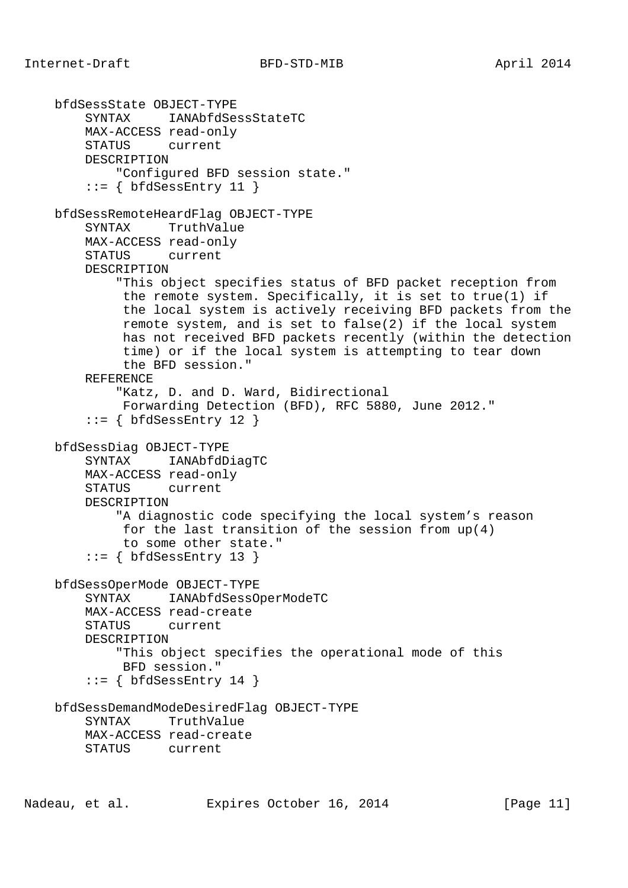```
 bfdSessState OBJECT-TYPE
     SYNTAX IANAbfdSessStateTC
     MAX-ACCESS read-only
     STATUS current
     DESCRIPTION
         "Configured BFD session state."
    ::= { bfdSessEntry 11 }
 bfdSessRemoteHeardFlag OBJECT-TYPE
     SYNTAX TruthValue
     MAX-ACCESS read-only
     STATUS current
     DESCRIPTION
         "This object specifies status of BFD packet reception from
          the remote system. Specifically, it is set to true(1) if
          the local system is actively receiving BFD packets from the
          remote system, and is set to false(2) if the local system
          has not received BFD packets recently (within the detection
          time) or if the local system is attempting to tear down
          the BFD session."
     REFERENCE
         "Katz, D. and D. Ward, Bidirectional
         Forwarding Detection (BFD), RFC 5880, June 2012."
    ::= { bfdSessEntry 12 }
 bfdSessDiag OBJECT-TYPE
     SYNTAX IANAbfdDiagTC
     MAX-ACCESS read-only
     STATUS current
     DESCRIPTION
         "A diagnostic code specifying the local system's reason
          for the last transition of the session from up(4)
         to some other state."
    ::= { bfdSessEntry 13 }
 bfdSessOperMode OBJECT-TYPE
     SYNTAX IANAbfdSessOperModeTC
     MAX-ACCESS read-create
     STATUS current
     DESCRIPTION
         "This object specifies the operational mode of this
         BFD session."
    ::= { bfdSessEntry 14 }
 bfdSessDemandModeDesiredFlag OBJECT-TYPE
     SYNTAX TruthValue
     MAX-ACCESS read-create
     STATUS current
```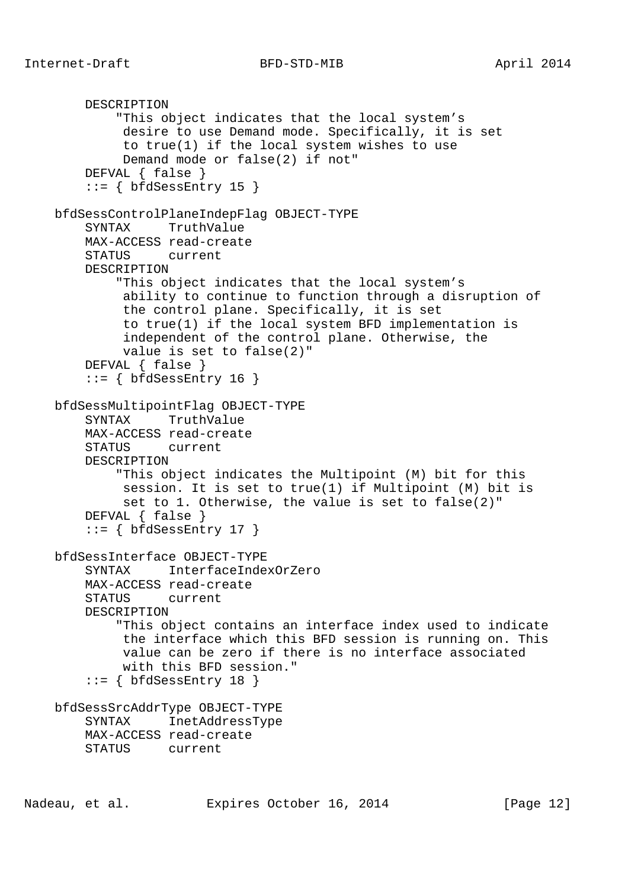```
 DESCRIPTION
         "This object indicates that the local system's
          desire to use Demand mode. Specifically, it is set
          to true(1) if the local system wishes to use
          Demand mode or false(2) if not"
     DEFVAL { false }
    ::= { bfdSessEntry 15 }
 bfdSessControlPlaneIndepFlag OBJECT-TYPE
     SYNTAX TruthValue
     MAX-ACCESS read-create
     STATUS current
     DESCRIPTION
         "This object indicates that the local system's
          ability to continue to function through a disruption of
          the control plane. Specifically, it is set
          to true(1) if the local system BFD implementation is
          independent of the control plane. Otherwise, the
          value is set to false(2)"
     DEFVAL { false }
    ::= { bfdSessEntry 16 }
 bfdSessMultipointFlag OBJECT-TYPE
     SYNTAX TruthValue
     MAX-ACCESS read-create
     STATUS current
     DESCRIPTION
         "This object indicates the Multipoint (M) bit for this
          session. It is set to true(1) if Multipoint (M) bit is
          set to 1. Otherwise, the value is set to false(2)"
     DEFVAL { false }
    ::= { bfdSessEntry 17 }
 bfdSessInterface OBJECT-TYPE
     SYNTAX InterfaceIndexOrZero
     MAX-ACCESS read-create
     STATUS current
     DESCRIPTION
         "This object contains an interface index used to indicate
          the interface which this BFD session is running on. This
          value can be zero if there is no interface associated
          with this BFD session."
    ::= { bfdSessEntry 18 }
 bfdSessSrcAddrType OBJECT-TYPE
     SYNTAX InetAddressType
     MAX-ACCESS read-create
     STATUS current
```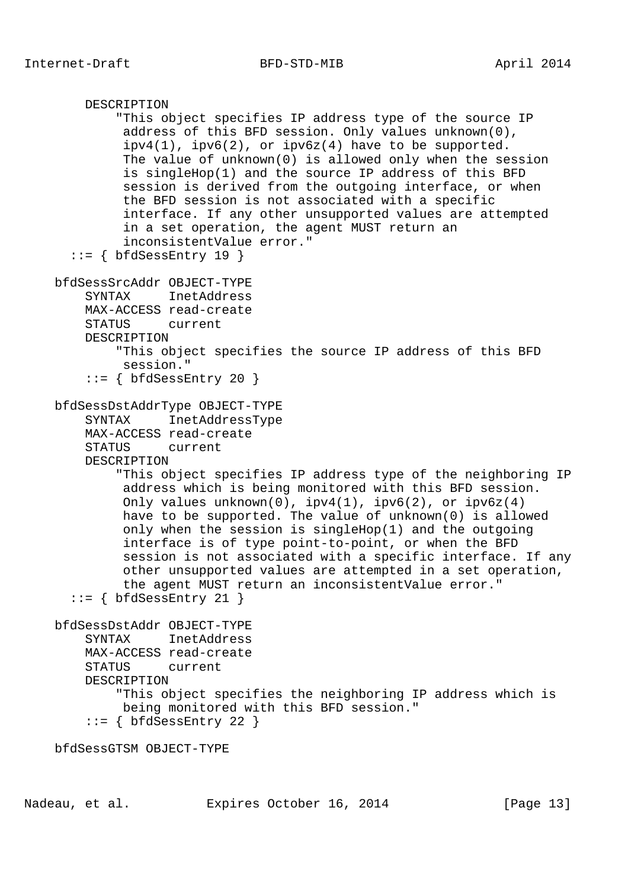```
 DESCRIPTION
         "This object specifies IP address type of the source IP
          address of this BFD session. Only values unknown(0),
         ipv4(1), ipv6(2), or ipv6z(4) have to be supported.
          The value of unknown(0) is allowed only when the session
          is singleHop(1) and the source IP address of this BFD
          session is derived from the outgoing interface, or when
          the BFD session is not associated with a specific
          interface. If any other unsupported values are attempted
          in a set operation, the agent MUST return an
          inconsistentValue error."
  ::= { bfdSessEntry 19 }
 bfdSessSrcAddr OBJECT-TYPE
     SYNTAX InetAddress
     MAX-ACCESS read-create
     STATUS current
     DESCRIPTION
         "This object specifies the source IP address of this BFD
         session."
    ::= { bfdSessEntry 20 }
 bfdSessDstAddrType OBJECT-TYPE
     SYNTAX InetAddressType
     MAX-ACCESS read-create
     STATUS current
     DESCRIPTION
         "This object specifies IP address type of the neighboring IP
          address which is being monitored with this BFD session.
          Only values unknown(0), ipv4(1), ipv6(2), or ipv6z(4)
          have to be supported. The value of unknown(0) is allowed
          only when the session is singleHop(1) and the outgoing
          interface is of type point-to-point, or when the BFD
          session is not associated with a specific interface. If any
          other unsupported values are attempted in a set operation,
          the agent MUST return an inconsistentValue error."
  ::= { bfdSessEntry 21 }
 bfdSessDstAddr OBJECT-TYPE
     SYNTAX InetAddress
     MAX-ACCESS read-create
     STATUS current
     DESCRIPTION
         "This object specifies the neighboring IP address which is
         being monitored with this BFD session."
    ::= { bfdSessEntry 22 }
```
bfdSessGTSM OBJECT-TYPE

Nadeau, et al. **Expires October 16, 2014** [Page 13]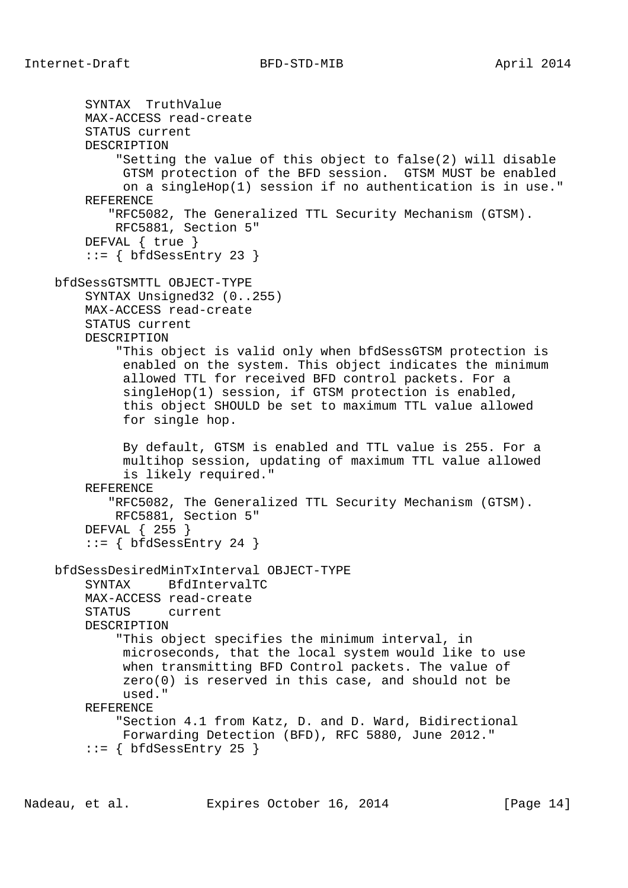SYNTAX TruthValue MAX-ACCESS read-create STATUS current DESCRIPTION "Setting the value of this object to false(2) will disable GTSM protection of the BFD session. GTSM MUST be enabled on a singleHop(1) session if no authentication is in use." REFERENCE "RFC5082, The Generalized TTL Security Mechanism (GTSM). RFC5881, Section 5" DEFVAL { true }  $::=$  { bfdSessEntry 23 } bfdSessGTSMTTL OBJECT-TYPE SYNTAX Unsigned32 (0..255) MAX-ACCESS read-create STATUS current DESCRIPTION "This object is valid only when bfdSessGTSM protection is enabled on the system. This object indicates the minimum allowed TTL for received BFD control packets. For a singleHop(1) session, if GTSM protection is enabled, this object SHOULD be set to maximum TTL value allowed for single hop. By default, GTSM is enabled and TTL value is 255. For a multihop session, updating of maximum TTL value allowed is likely required." REFERENCE "RFC5082, The Generalized TTL Security Mechanism (GTSM). RFC5881, Section 5" DEFVAL { 255 }  $::=$  { bfdSessEntry 24 } bfdSessDesiredMinTxInterval OBJECT-TYPE SYNTAX BfdIntervalTC MAX-ACCESS read-create STATUS current DESCRIPTION "This object specifies the minimum interval, in microseconds, that the local system would like to use when transmitting BFD Control packets. The value of zero(0) is reserved in this case, and should not be used." REFERENCE "Section 4.1 from Katz, D. and D. Ward, Bidirectional Forwarding Detection (BFD), RFC 5880, June 2012."  $::=$  { bfdSessEntry 25 }

Nadeau, et al. Expires October 16, 2014 [Page 14]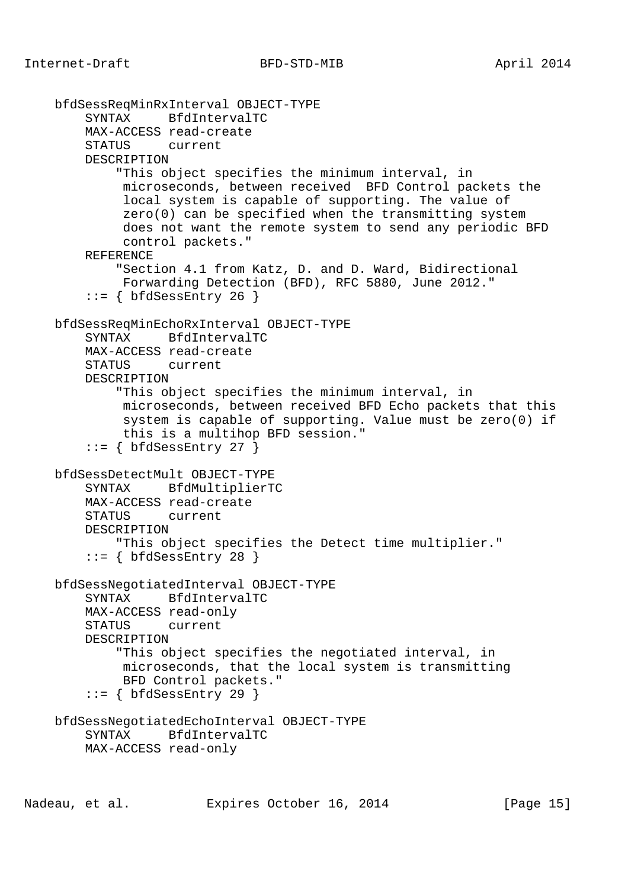```
 bfdSessReqMinRxInterval OBJECT-TYPE
     SYNTAX BfdIntervalTC
     MAX-ACCESS read-create
     STATUS current
     DESCRIPTION
         "This object specifies the minimum interval, in
          microseconds, between received BFD Control packets the
          local system is capable of supporting. The value of
          zero(0) can be specified when the transmitting system
          does not want the remote system to send any periodic BFD
          control packets."
     REFERENCE
         "Section 4.1 from Katz, D. and D. Ward, Bidirectional
         Forwarding Detection (BFD), RFC 5880, June 2012."
    ::= { bfdSessEntry 26 }
 bfdSessReqMinEchoRxInterval OBJECT-TYPE
     SYNTAX BfdIntervalTC
     MAX-ACCESS read-create
     STATUS current
     DESCRIPTION
         "This object specifies the minimum interval, in
          microseconds, between received BFD Echo packets that this
          system is capable of supporting. Value must be zero(0) if
          this is a multihop BFD session."
    ::= { bfdSessEntry 27 }
 bfdSessDetectMult OBJECT-TYPE
     SYNTAX BfdMultiplierTC
     MAX-ACCESS read-create
     STATUS current
     DESCRIPTION
         "This object specifies the Detect time multiplier."
    ::= { bfdSessEntry 28 }
 bfdSessNegotiatedInterval OBJECT-TYPE
     SYNTAX BfdIntervalTC
     MAX-ACCESS read-only
     STATUS current
     DESCRIPTION
         "This object specifies the negotiated interval, in
          microseconds, that the local system is transmitting
          BFD Control packets."
    ::= { bfdSessEntry 29 }
 bfdSessNegotiatedEchoInterval OBJECT-TYPE
     SYNTAX BfdIntervalTC
     MAX-ACCESS read-only
```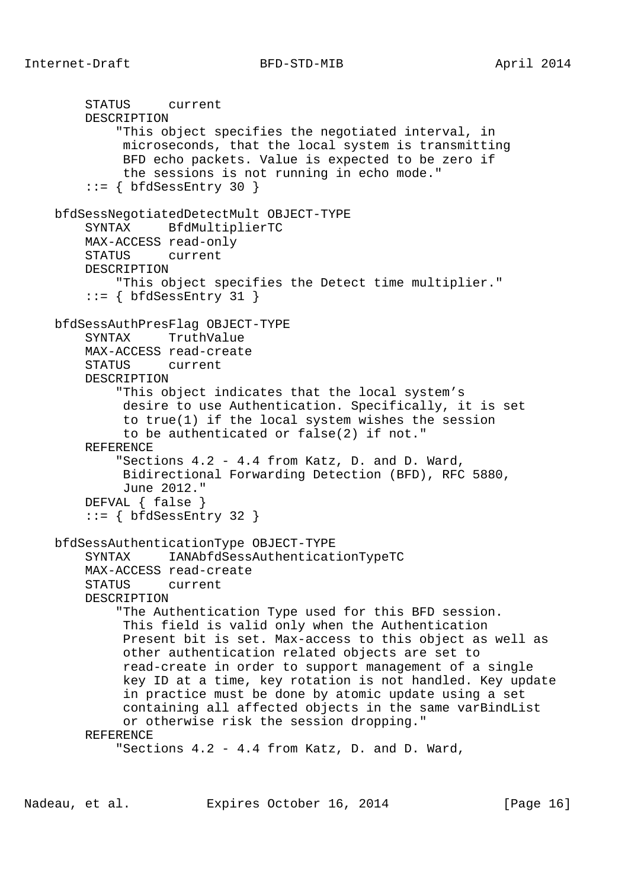```
 STATUS current
     DESCRIPTION
         "This object specifies the negotiated interval, in
          microseconds, that the local system is transmitting
          BFD echo packets. Value is expected to be zero if
          the sessions is not running in echo mode."
    ::= { bfdSessEntry 30 }
 bfdSessNegotiatedDetectMult OBJECT-TYPE
     SYNTAX BfdMultiplierTC
     MAX-ACCESS read-only
     STATUS current
    DESCRIPTION
         "This object specifies the Detect time multiplier."
    ::= { bfdSessEntry 31 }
 bfdSessAuthPresFlag OBJECT-TYPE
     SYNTAX TruthValue
    MAX-ACCESS read-create
     STATUS current
     DESCRIPTION
         "This object indicates that the local system's
          desire to use Authentication. Specifically, it is set
          to true(1) if the local system wishes the session
          to be authenticated or false(2) if not."
     REFERENCE
         "Sections 4.2 - 4.4 from Katz, D. and D. Ward,
          Bidirectional Forwarding Detection (BFD), RFC 5880,
          June 2012."
     DEFVAL { false }
    ::= { bfdSessEntry 32 }
 bfdSessAuthenticationType OBJECT-TYPE
     SYNTAX IANAbfdSessAuthenticationTypeTC
     MAX-ACCESS read-create
     STATUS current
     DESCRIPTION
         "The Authentication Type used for this BFD session.
          This field is valid only when the Authentication
          Present bit is set. Max-access to this object as well as
          other authentication related objects are set to
          read-create in order to support management of a single
          key ID at a time, key rotation is not handled. Key update
          in practice must be done by atomic update using a set
          containing all affected objects in the same varBindList
          or otherwise risk the session dropping."
     REFERENCE
         "Sections 4.2 - 4.4 from Katz, D. and D. Ward,
```
Nadeau, et al. Expires October 16, 2014 [Page 16]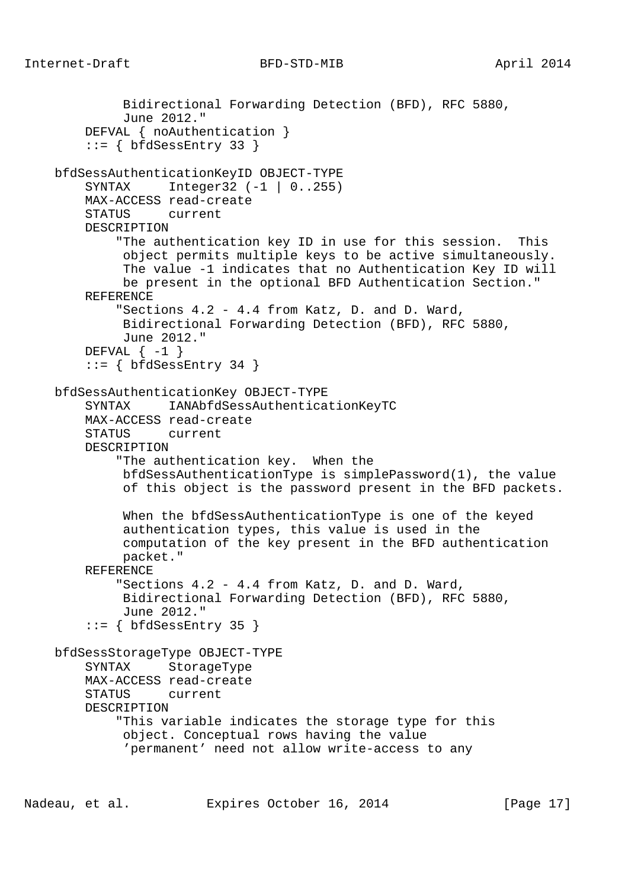```
 Bidirectional Forwarding Detection (BFD), RFC 5880,
          June 2012."
     DEFVAL { noAuthentication }
    ::= { bfdSessEntry 33 }
 bfdSessAuthenticationKeyID OBJECT-TYPE
     SYNTAX Integer32 (-1 | 0..255)
     MAX-ACCESS read-create
     STATUS current
     DESCRIPTION
         "The authentication key ID in use for this session. This
          object permits multiple keys to be active simultaneously.
          The value -1 indicates that no Authentication Key ID will
          be present in the optional BFD Authentication Section."
     REFERENCE
         "Sections 4.2 - 4.4 from Katz, D. and D. Ward,
          Bidirectional Forwarding Detection (BFD), RFC 5880,
          June 2012."
    DEFVAL \{-1\}::= { bfdSessEntry 34 }
 bfdSessAuthenticationKey OBJECT-TYPE
     SYNTAX IANAbfdSessAuthenticationKeyTC
     MAX-ACCESS read-create
     STATUS current
     DESCRIPTION
         "The authentication key. When the
          bfdSessAuthenticationType is simplePassword(1), the value
          of this object is the password present in the BFD packets.
          When the bfdSessAuthenticationType is one of the keyed
          authentication types, this value is used in the
          computation of the key present in the BFD authentication
          packet."
     REFERENCE
         "Sections 4.2 - 4.4 from Katz, D. and D. Ward,
          Bidirectional Forwarding Detection (BFD), RFC 5880,
          June 2012."
    ::= { bfdSessEntry 35 }
 bfdSessStorageType OBJECT-TYPE
     SYNTAX StorageType
     MAX-ACCESS read-create
     STATUS current
     DESCRIPTION
         "This variable indicates the storage type for this
          object. Conceptual rows having the value
          'permanent' need not allow write-access to any
```
Nadeau, et al. Expires October 16, 2014 [Page 17]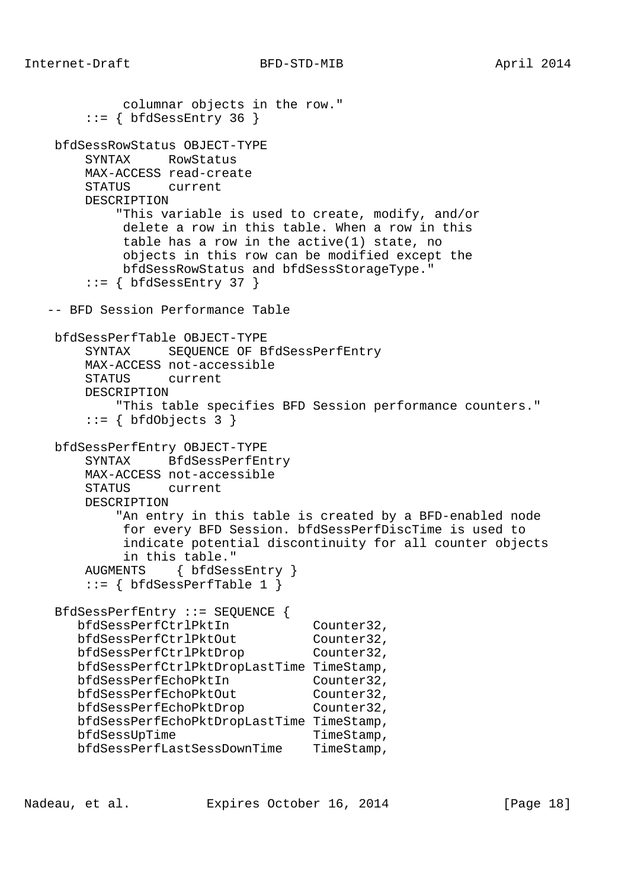```
 columnar objects in the row."
       ::= { bfdSessEntry 36 }
    bfdSessRowStatus OBJECT-TYPE
        SYNTAX RowStatus
        MAX-ACCESS read-create
        STATUS current
        DESCRIPTION
            "This variable is used to create, modify, and/or
             delete a row in this table. When a row in this
             table has a row in the active(1) state, no
             objects in this row can be modified except the
             bfdSessRowStatus and bfdSessStorageType."
       ::= { bfdSessEntry 37 }
   -- BFD Session Performance Table
    bfdSessPerfTable OBJECT-TYPE
        SYNTAX SEQUENCE OF BfdSessPerfEntry
        MAX-ACCESS not-accessible
        STATUS current
        DESCRIPTION
            "This table specifies BFD Session performance counters."
       ::= { bfdObjects 3 }
    bfdSessPerfEntry OBJECT-TYPE
        SYNTAX BfdSessPerfEntry
        MAX-ACCESS not-accessible
        STATUS current
        DESCRIPTION
            "An entry in this table is created by a BFD-enabled node
             for every BFD Session. bfdSessPerfDiscTime is used to
             indicate potential discontinuity for all counter objects
             in this table."
        AUGMENTS { bfdSessEntry }
       ::= { bfdSessPerfTable 1 }
    BfdSessPerfEntry ::= SEQUENCE {
      bfdSessPerfCtrlPktIn Counter32,<br>bfdSessPerfCtrlPktOut Counter32,
bfdSessPerfCtrlPktOut Counter32,
bfdSessPerfCtrlPktDrop Counter32,
       bfdSessPerfCtrlPktDropLastTime TimeStamp,
       bfdSessPerfEchoPktIn Counter32,
bfdSessPerfEchoPktOut Counter32,
bfdSessPerfEchoPktDrop Counter32,
       bfdSessPerfEchoPktDropLastTime TimeStamp,
      bfdSessUpTime TimeStamp,
       bfdSessPerfLastSessDownTime TimeStamp,
```
Nadeau, et al. Expires October 16, 2014 [Page 18]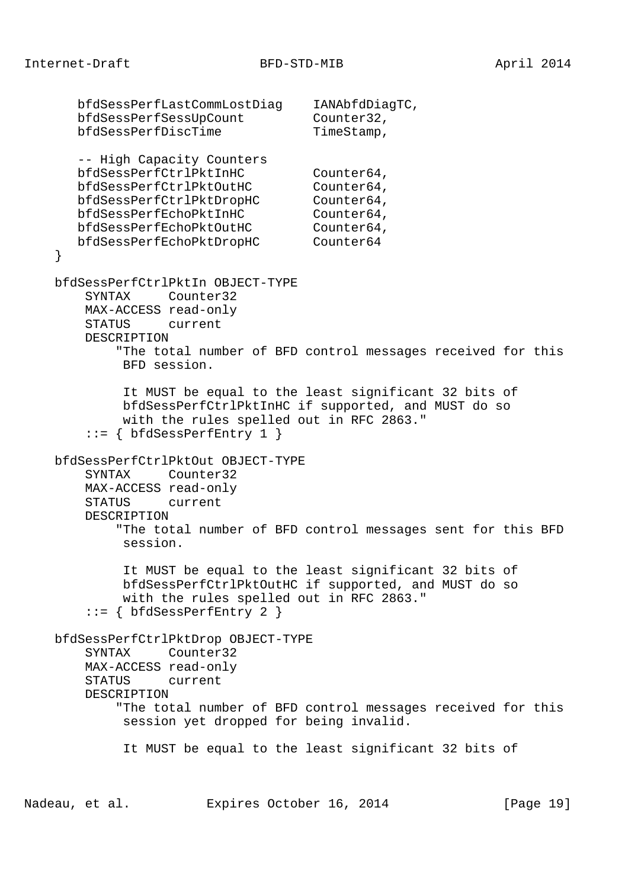bfdSessPerfLastCommLostDiag IANAbfdDiagTC, bfdSessPerfSessUpCount Counter32, bfdSessPerfDiscTime TimeStamp, -- High Capacity Counters bfdSessPerfCtrlPktInHC Counter64, bfdSessPerfCtrlPktOutHC Counter64, bfdSessPerfCtrlPktDropHC Counter64, bfdSessPerfEchoPktInHC Counter64, bfdSessPerfEchoPktOutHC Counter64, bfdSessPerfEchoPktDropHC Counter64 } bfdSessPerfCtrlPktIn OBJECT-TYPE SYNTAX Counter32 MAX-ACCESS read-only STATUS current DESCRIPTION "The total number of BFD control messages received for this BFD session. It MUST be equal to the least significant 32 bits of bfdSessPerfCtrlPktInHC if supported, and MUST do so with the rules spelled out in RFC 2863." ::= { bfdSessPerfEntry 1 } bfdSessPerfCtrlPktOut OBJECT-TYPE SYNTAX Counter32 MAX-ACCESS read-only STATUS current DESCRIPTION "The total number of BFD control messages sent for this BFD session. It MUST be equal to the least significant 32 bits of bfdSessPerfCtrlPktOutHC if supported, and MUST do so with the rules spelled out in RFC 2863."  $::= \{ bfdSessPerfEntry 2 \}$  bfdSessPerfCtrlPktDrop OBJECT-TYPE SYNTAX Counter32 MAX-ACCESS read-only STATUS current DESCRIPTION "The total number of BFD control messages received for this session yet dropped for being invalid. It MUST be equal to the least significant 32 bits of

Nadeau, et al. Expires October 16, 2014 [Page 19]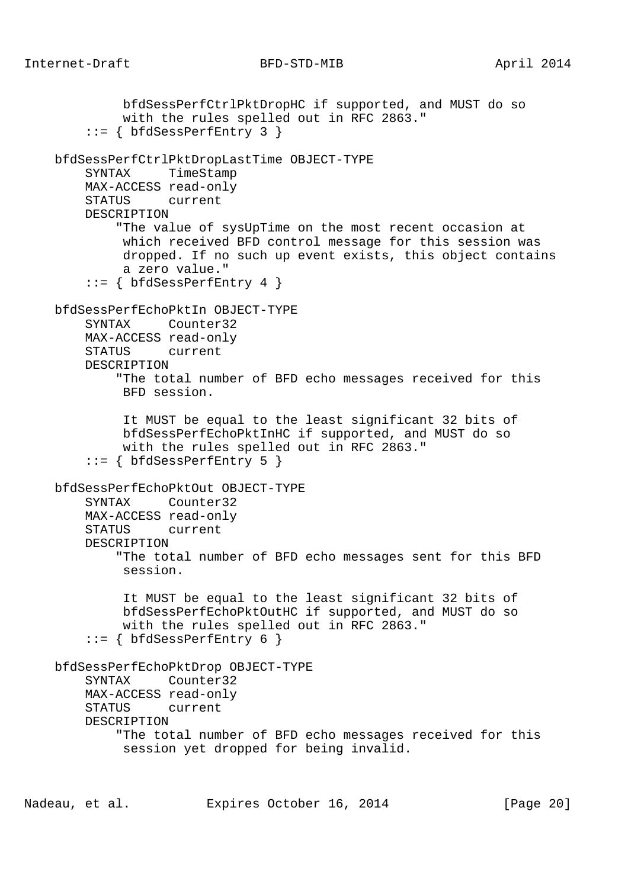bfdSessPerfCtrlPktDropHC if supported, and MUST do so with the rules spelled out in RFC 2863." ::= { bfdSessPerfEntry 3 } bfdSessPerfCtrlPktDropLastTime OBJECT-TYPE SYNTAX TimeStamp MAX-ACCESS read-only STATUS current DESCRIPTION "The value of sysUpTime on the most recent occasion at which received BFD control message for this session was dropped. If no such up event exists, this object contains a zero value."  $::=$  { bfdSessPerfEntry 4 } bfdSessPerfEchoPktIn OBJECT-TYPE SYNTAX Counter32 MAX-ACCESS read-only STATUS current DESCRIPTION "The total number of BFD echo messages received for this BFD session. It MUST be equal to the least significant 32 bits of bfdSessPerfEchoPktInHC if supported, and MUST do so with the rules spelled out in RFC 2863."  $::= \{ bfdSessPerfEntry 5 \}$  bfdSessPerfEchoPktOut OBJECT-TYPE SYNTAX Counter32 MAX-ACCESS read-only STATUS current DESCRIPTION "The total number of BFD echo messages sent for this BFD session. It MUST be equal to the least significant 32 bits of bfdSessPerfEchoPktOutHC if supported, and MUST do so with the rules spelled out in RFC 2863."  $::= \{ bfdSessPerfEntry 6 \}$  bfdSessPerfEchoPktDrop OBJECT-TYPE SYNTAX Counter32 MAX-ACCESS read-only STATUS current DESCRIPTION "The total number of BFD echo messages received for this session yet dropped for being invalid.

Nadeau, et al. Expires October 16, 2014 [Page 20]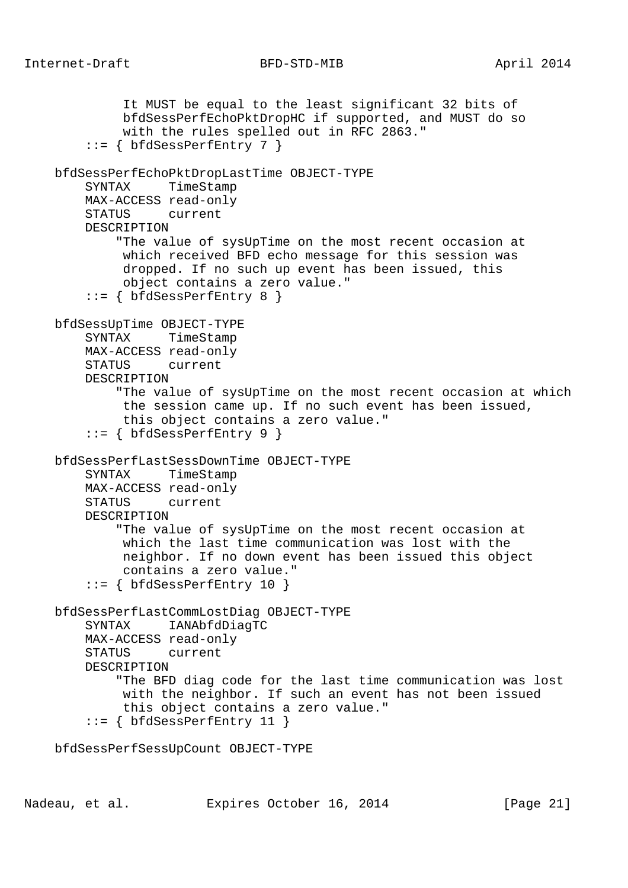```
 It MUST be equal to the least significant 32 bits of
          bfdSessPerfEchoPktDropHC if supported, and MUST do so
          with the rules spelled out in RFC 2863."
    ::= { bfdSessPerfEntry 7 }
 bfdSessPerfEchoPktDropLastTime OBJECT-TYPE
     SYNTAX TimeStamp
     MAX-ACCESS read-only
     STATUS current
     DESCRIPTION
         "The value of sysUpTime on the most recent occasion at
          which received BFD echo message for this session was
          dropped. If no such up event has been issued, this
          object contains a zero value."
    ::= { bfdSessPerfEntry 8 }
 bfdSessUpTime OBJECT-TYPE
     SYNTAX TimeStamp
     MAX-ACCESS read-only
     STATUS current
     DESCRIPTION
         "The value of sysUpTime on the most recent occasion at which
          the session came up. If no such event has been issued,
          this object contains a zero value."
     ::= { bfdSessPerfEntry 9 }
 bfdSessPerfLastSessDownTime OBJECT-TYPE
     SYNTAX TimeStamp
     MAX-ACCESS read-only
     STATUS current
     DESCRIPTION
         "The value of sysUpTime on the most recent occasion at
          which the last time communication was lost with the
          neighbor. If no down event has been issued this object
          contains a zero value."
     ::= { bfdSessPerfEntry 10 }
 bfdSessPerfLastCommLostDiag OBJECT-TYPE
     SYNTAX IANAbfdDiagTC
     MAX-ACCESS read-only
     STATUS current
     DESCRIPTION
         "The BFD diag code for the last time communication was lost
          with the neighbor. If such an event has not been issued
          this object contains a zero value."
    ::= { bfdSessPerfEntry 11 }
 bfdSessPerfSessUpCount OBJECT-TYPE
```
Nadeau, et al. Expires October 16, 2014 [Page 21]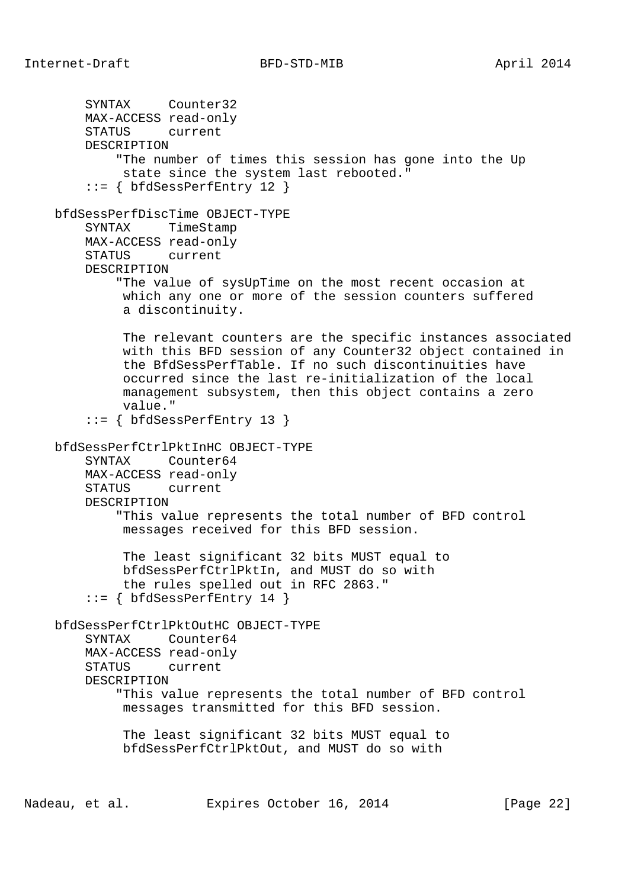SYNTAX Counter32 MAX-ACCESS read-only STATUS current DESCRIPTION "The number of times this session has gone into the Up state since the system last rebooted." ::= { bfdSessPerfEntry 12 } bfdSessPerfDiscTime OBJECT-TYPE SYNTAX TimeStamp MAX-ACCESS read-only STATUS current DESCRIPTION "The value of sysUpTime on the most recent occasion at which any one or more of the session counters suffered a discontinuity. The relevant counters are the specific instances associated with this BFD session of any Counter32 object contained in the BfdSessPerfTable. If no such discontinuities have occurred since the last re-initialization of the local management subsystem, then this object contains a zero value." ::= { bfdSessPerfEntry 13 } bfdSessPerfCtrlPktInHC OBJECT-TYPE SYNTAX Counter64 MAX-ACCESS read-only STATUS current DESCRIPTION "This value represents the total number of BFD control messages received for this BFD session. The least significant 32 bits MUST equal to bfdSessPerfCtrlPktIn, and MUST do so with the rules spelled out in RFC 2863." ::= { bfdSessPerfEntry 14 } bfdSessPerfCtrlPktOutHC OBJECT-TYPE SYNTAX Counter64 MAX-ACCESS read-only STATUS current DESCRIPTION "This value represents the total number of BFD control messages transmitted for this BFD session. The least significant 32 bits MUST equal to bfdSessPerfCtrlPktOut, and MUST do so with

Nadeau, et al. Expires October 16, 2014 [Page 22]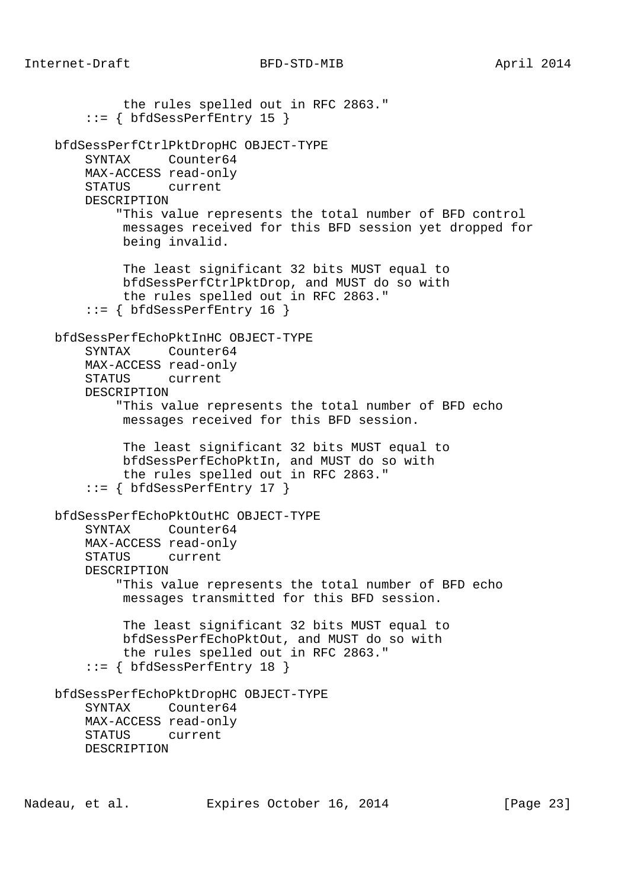the rules spelled out in RFC 2863."  $::= \{ bfdSessPerfEntry 15 \}$  bfdSessPerfCtrlPktDropHC OBJECT-TYPE SYNTAX Counter64 MAX-ACCESS read-only STATUS current DESCRIPTION "This value represents the total number of BFD control messages received for this BFD session yet dropped for being invalid. The least significant 32 bits MUST equal to bfdSessPerfCtrlPktDrop, and MUST do so with the rules spelled out in RFC 2863."  $::=$  { bfdSessPerfEntry 16 } bfdSessPerfEchoPktInHC OBJECT-TYPE SYNTAX Counter64 MAX-ACCESS read-only STATUS current DESCRIPTION "This value represents the total number of BFD echo messages received for this BFD session. The least significant 32 bits MUST equal to bfdSessPerfEchoPktIn, and MUST do so with the rules spelled out in RFC 2863."  $::=$  { bfdSessPerfEntry 17 } bfdSessPerfEchoPktOutHC OBJECT-TYPE SYNTAX Counter64 MAX-ACCESS read-only STATUS current DESCRIPTION "This value represents the total number of BFD echo messages transmitted for this BFD session. The least significant 32 bits MUST equal to bfdSessPerfEchoPktOut, and MUST do so with the rules spelled out in RFC 2863." ::= { bfdSessPerfEntry 18 } bfdSessPerfEchoPktDropHC OBJECT-TYPE SYNTAX Counter64 MAX-ACCESS read-only STATUS current DESCRIPTION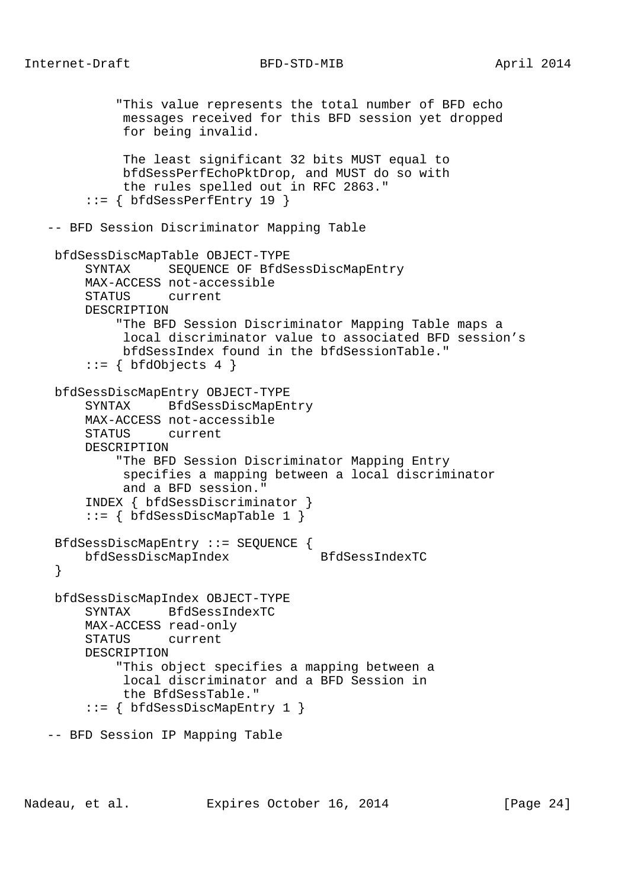```
 "This value represents the total number of BFD echo
           messages received for this BFD session yet dropped
           for being invalid.
           The least significant 32 bits MUST equal to
           bfdSessPerfEchoPktDrop, and MUST do so with
           the rules spelled out in RFC 2863."
      ::= { bfdSessPerfEntry 19 }
 -- BFD Session Discriminator Mapping Table
 bfdSessDiscMapTable OBJECT-TYPE
      SYNTAX SEQUENCE OF BfdSessDiscMapEntry
      MAX-ACCESS not-accessible
      STATUS current
      DESCRIPTION
          "The BFD Session Discriminator Mapping Table maps a
           local discriminator value to associated BFD session's
          bfdSessIndex found in the bfdSessionTable."
     ::= { bfdObjects 4 }
 bfdSessDiscMapEntry OBJECT-TYPE
      SYNTAX BfdSessDiscMapEntry
      MAX-ACCESS not-accessible
      STATUS current
      DESCRIPTION
          "The BFD Session Discriminator Mapping Entry
           specifies a mapping between a local discriminator
           and a BFD session."
      INDEX { bfdSessDiscriminator }
      ::= { bfdSessDiscMapTable 1 }
 BfdSessDiscMapEntry ::= SEQUENCE {
     bfdSessDiscMapIndex BfdSessIndexTC
  }
 bfdSessDiscMapIndex OBJECT-TYPE
      SYNTAX BfdSessIndexTC
      MAX-ACCESS read-only
      STATUS current
      DESCRIPTION
          "This object specifies a mapping between a
           local discriminator and a BFD Session in
           the BfdSessTable."
      ::= { bfdSessDiscMapEntry 1 }
 -- BFD Session IP Mapping Table
```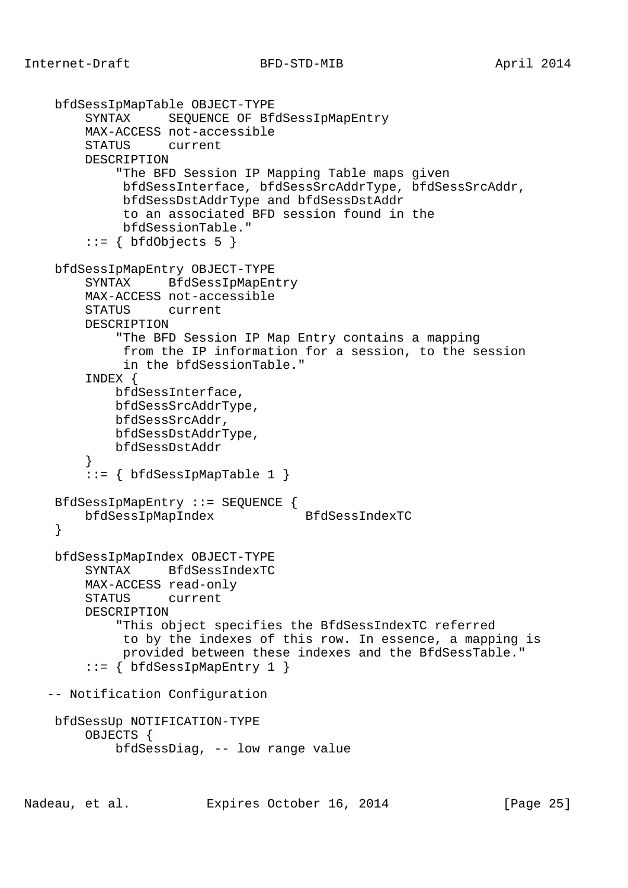```
 bfdSessIpMapTable OBJECT-TYPE
        SYNTAX SEQUENCE OF BfdSessIpMapEntry
        MAX-ACCESS not-accessible
        STATUS current
        DESCRIPTION
             "The BFD Session IP Mapping Table maps given
             bfdSessInterface, bfdSessSrcAddrType, bfdSessSrcAddr,
             bfdSessDstAddrType and bfdSessDstAddr
             to an associated BFD session found in the
             bfdSessionTable."
        ::= { bfdObjects 5 }
    bfdSessIpMapEntry OBJECT-TYPE
        SYNTAX BfdSessIpMapEntry
        MAX-ACCESS not-accessible
        STATUS current
        DESCRIPTION
             "The BFD Session IP Map Entry contains a mapping
             from the IP information for a session, to the session
             in the bfdSessionTable."
         INDEX {
            bfdSessInterface,
            bfdSessSrcAddrType,
            bfdSessSrcAddr,
            bfdSessDstAddrType,
        bfdSessDstAddr<br>}
 }
        ::= \{ bfdSessIpMapTable 1 \} BfdSessIpMapEntry ::= SEQUENCE {
        bfdSessIpMapIndex BfdSessIndexTC
     }
    bfdSessIpMapIndex OBJECT-TYPE
        SYNTAX BfdSessIndexTC
        MAX-ACCESS read-only
        STATUS current
        DESCRIPTION
             "This object specifies the BfdSessIndexTC referred
             to by the indexes of this row. In essence, a mapping is
             provided between these indexes and the BfdSessTable."
         ::= { bfdSessIpMapEntry 1 }
   -- Notification Configuration
    bfdSessUp NOTIFICATION-TYPE
        OBJECTS {
            bfdSessDiag, -- low range value
```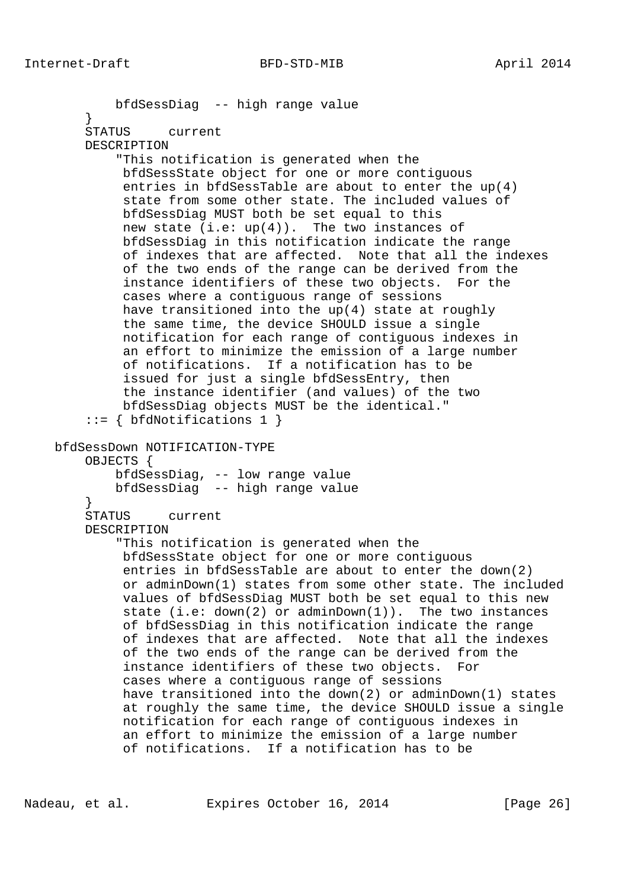```
 bfdSessDiag -- high range value
         }
        STATUS current
        DESCRIPTION
             "This notification is generated when the
             bfdSessState object for one or more contiguous
             entries in bfdSessTable are about to enter the up(4)
              state from some other state. The included values of
             bfdSessDiag MUST both be set equal to this
            new state (i.e: up(4)). The two instances of
             bfdSessDiag in this notification indicate the range
              of indexes that are affected. Note that all the indexes
              of the two ends of the range can be derived from the
              instance identifiers of these two objects. For the
             cases where a contiguous range of sessions
             have transitioned into the up(4) state at roughly
              the same time, the device SHOULD issue a single
             notification for each range of contiguous indexes in
             an effort to minimize the emission of a large number
             of notifications. If a notification has to be
              issued for just a single bfdSessEntry, then
             the instance identifier (and values) of the two
             bfdSessDiag objects MUST be the identical."
         ::= { bfdNotifications 1 }
    bfdSessDown NOTIFICATION-TYPE
        OBJECTS {
            bfdSessDiag, -- low range value
         bfdSessDiag -- high range value
 }
        STATUS current
        DESCRIPTION
             "This notification is generated when the
             bfdSessState object for one or more contiguous
              entries in bfdSessTable are about to enter the down(2)
             or adminDown(1) states from some other state. The included
              values of bfdSessDiag MUST both be set equal to this new
              state (i.e: down(2) or adminDown(1)). The two instances
             of bfdSessDiag in this notification indicate the range
              of indexes that are affected. Note that all the indexes
             of the two ends of the range can be derived from the
              instance identifiers of these two objects. For
              cases where a contiguous range of sessions
             have transitioned into the down(2) or adminDown(1) states
             at roughly the same time, the device SHOULD issue a single
             notification for each range of contiguous indexes in
              an effort to minimize the emission of a large number
              of notifications. If a notification has to be
```
Nadeau, et al. Expires October 16, 2014 [Page 26]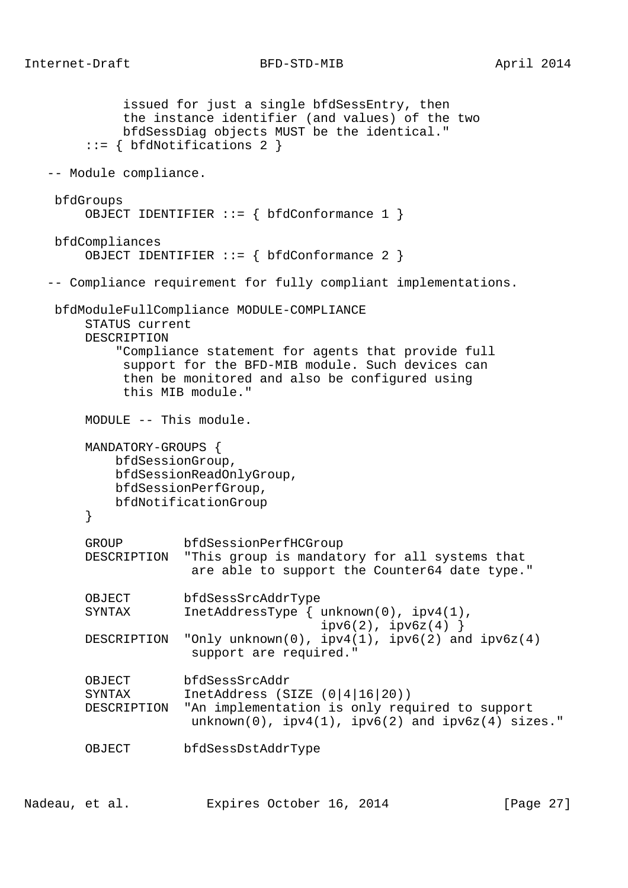```
 issued for just a single bfdSessEntry, then
           the instance identifier (and values) of the two
          bfdSessDiag objects MUST be the identical."
      ::= { bfdNotifications 2 }
 -- Module compliance.
 bfdGroups
    OBJECT IDENTIFIER ::= { bfdConformance 1 }
 bfdCompliances
     OBJECT IDENTIFIER ::= { bfdConformance 2 }
 -- Compliance requirement for fully compliant implementations.
 bfdModuleFullCompliance MODULE-COMPLIANCE
     STATUS current
     DESCRIPTION
          "Compliance statement for agents that provide full
           support for the BFD-MIB module. Such devices can
           then be monitored and also be configured using
           this MIB module."
     MODULE -- This module.
     MANDATORY-GROUPS {
         bfdSessionGroup,
         bfdSessionReadOnlyGroup,
         bfdSessionPerfGroup,
         bfdNotificationGroup
      }
     GROUP bfdSessionPerfHCGroup
     DESCRIPTION "This group is mandatory for all systems that
                   are able to support the Counter64 date type."
     OBJECT bfdSessSrcAddrType
     SYNTAX InetAddressType { unknown(0), ipv4(1),
                                    ipv6(2), ipv6z(4) }
    DESCRIPTION "Only unknown(0), ipv4(1), ipv6(2) and ipv6z(4) support are required."
     OBJECT bfdSessSrcAddr
     SYNTAX InetAddress (SIZE (0|4|16|20))
     DESCRIPTION "An implementation is only required to support
                  unknown(0), ipv4(1), ipv6(2) and ipv6z(4) sizes."
     OBJECT bfdSessDstAddrType
```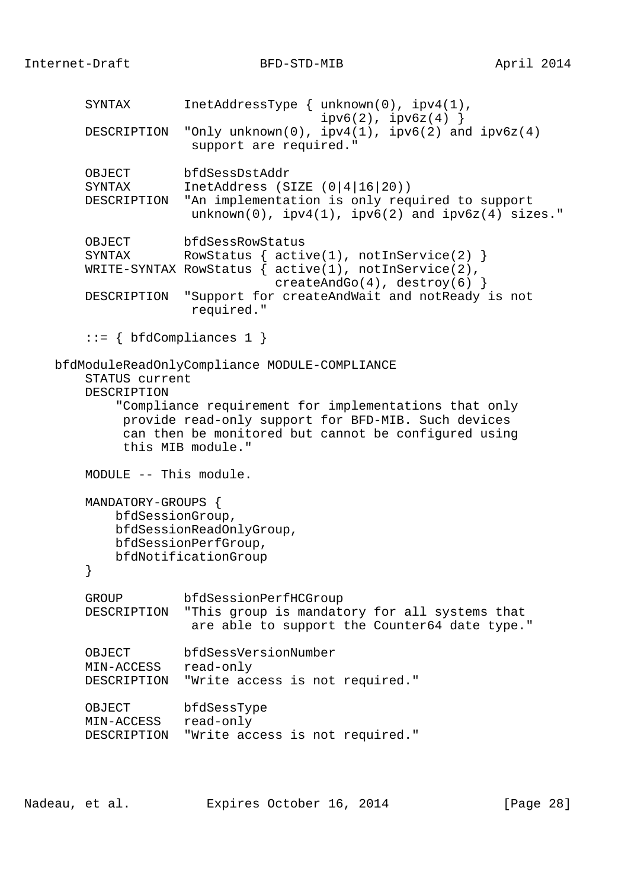SYNTAX InetAddressType { unknown(0), ipv4(1),  $ipv6(2)$ ,  $ipv6z(4)$  } DESCRIPTION "Only unknown(0), ipv4(1), ipv6(2) and ipv6z(4) support are required." OBJECT bfdSessDstAddr SYNTAX InetAddress (SIZE (0|4|16|20)) DESCRIPTION "An implementation is only required to support  $unknown(0)$ ,  $ipv4(1)$ ,  $ipv6(2)$  and  $ipv6z(4)$  sizes." OBJECT bfdSessRowStatus<br>SYNTAX RowStatus { acti RowStatus  $\{$  active(1), notInService(2)  $\}$  WRITE-SYNTAX RowStatus { active(1), notInService(2), createAndGo(4), destroy(6) } DESCRIPTION "Support for createAndWait and notReady is not required."  $::= \{ bfdCompliances 1 \}$  bfdModuleReadOnlyCompliance MODULE-COMPLIANCE STATUS current DESCRIPTION "Compliance requirement for implementations that only provide read-only support for BFD-MIB. Such devices can then be monitored but cannot be configured using this MIB module." MODULE -- This module. MANDATORY-GROUPS { bfdSessionGroup, bfdSessionReadOnlyGroup, bfdSessionPerfGroup, bfdNotificationGroup } GROUP bfdSessionPerfHCGroup DESCRIPTION "This group is mandatory for all systems that are able to support the Counter64 date type." OBJECT bfdSessVersionNumber MIN-ACCESS read-only DESCRIPTION "Write access is not required." OBJECT bfdSessType MIN-ACCESS read-only DESCRIPTION "Write access is not required."

Nadeau, et al. **Expires October 16, 2014** [Page 28]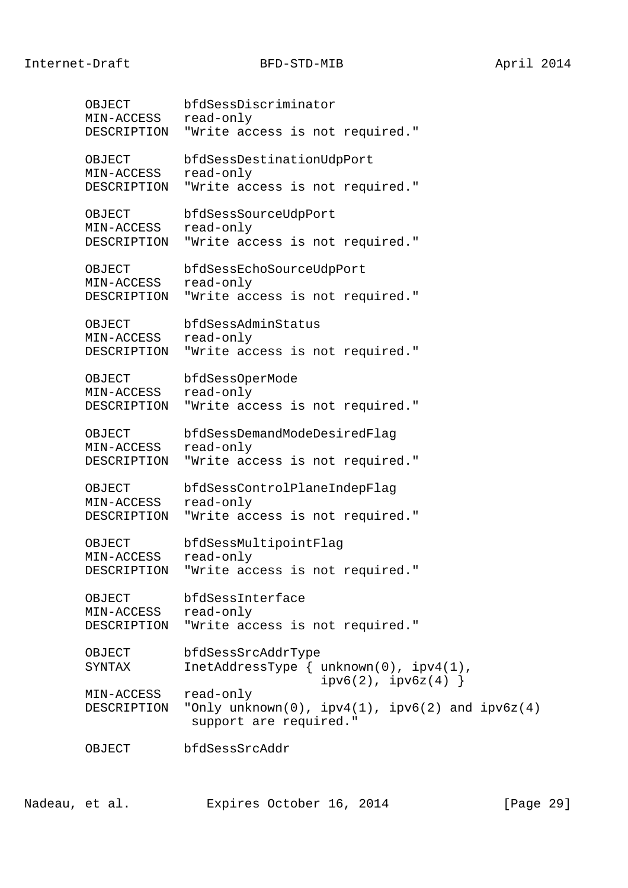OBJECT bfdSessDiscriminator MIN-ACCESS read-only DESCRIPTION "Write access is not required." OBJECT bfdSessDestinationUdpPort MIN-ACCESS read-only DESCRIPTION "Write access is not required." OBJECT bfdSessSourceUdpPort MIN-ACCESS read-only DESCRIPTION "Write access is not required." OBJECT bfdSessEchoSourceUdpPort MIN-ACCESS read-only DESCRIPTION "Write access is not required." OBJECT bfdSessAdminStatus MIN-ACCESS read-only DESCRIPTION "Write access is not required." OBJECT bfdSessOperMode MIN-ACCESS read-only DESCRIPTION "Write access is not required." OBJECT bfdSessDemandModeDesiredFlag MIN-ACCESS read-only DESCRIPTION "Write access is not required." OBJECT bfdSessControlPlaneIndepFlag MIN-ACCESS read-only DESCRIPTION "Write access is not required." OBJECT bfdSessMultipointFlag MIN-ACCESS read-only DESCRIPTION "Write access is not required." OBJECT bfdSessInterface MIN-ACCESS read-only DESCRIPTION "Write access is not required." OBJECT bfdSessSrcAddrType SYNTAX InetAddressType { unknown(0), ipv4(1),  $ipv6(2)$ ,  $ipv6z(4)$  } MIN-ACCESS read-only DESCRIPTION "Only unknown(0), ipv4(1), ipv6(2) and ipv6z(4) support are required." OBJECT bfdSessSrcAddr

Nadeau, et al. **Expires October 16, 2014** [Page 29]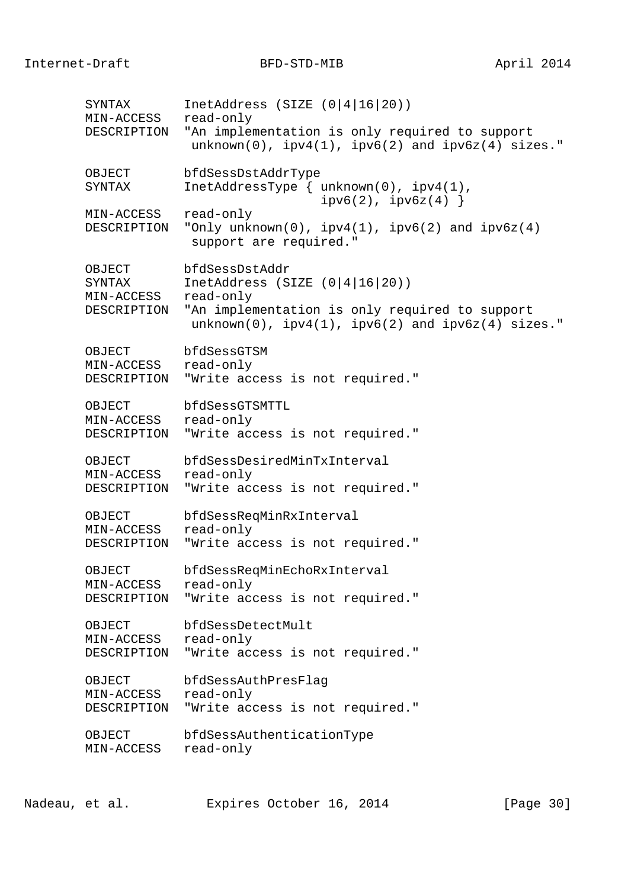SYNTAX InetAddress (SIZE (0|4|16|20)) MIN-ACCESS read-only DESCRIPTION "An implementation is only required to support  $unknown(0)$ ,  $ipv4(1)$ ,  $ipv6(2)$  and  $ipv6z(4)$  sizes." OBJECT bfdSessDstAddrType SYNTAX InetAddressType { unknown(0), ipv4(1),  $ipv6(2)$ ,  $ipv6z(4)$  } MIN-ACCESS read-only DESCRIPTION "Only unknown(0),  $ipv4(1)$ ,  $ipv6(2)$  and  $ipv6z(4)$  support are required." OBJECT bfdSessDstAddr SYNTAX InetAddress (SIZE (0|4|16|20)) MIN-ACCESS read-only DESCRIPTION "An implementation is only required to support  $unknown(0)$ ,  $ipv4(1)$ ,  $ipv6(2)$  and  $ipv6z(4)$  sizes." OBJECT bfdSessGTSM MIN-ACCESS read-only DESCRIPTION "Write access is not required." OBJECT bfdSessGTSMTTL MIN-ACCESS read-only DESCRIPTION "Write access is not required." OBJECT bfdSessDesiredMinTxInterval MIN-ACCESS read-only DESCRIPTION "Write access is not required." OBJECT bfdSessReqMinRxInterval MIN-ACCESS read-only DESCRIPTION "Write access is not required." OBJECT bfdSessReqMinEchoRxInterval MIN-ACCESS read-only DESCRIPTION "Write access is not required." OBJECT bfdSessDetectMult MIN-ACCESS read-only DESCRIPTION "Write access is not required." OBJECT bfdSessAuthPresFlag MIN-ACCESS read-only DESCRIPTION "Write access is not required." OBJECT bfdSessAuthenticationType MIN-ACCESS read-only

Nadeau, et al. Expires October 16, 2014 [Page 30]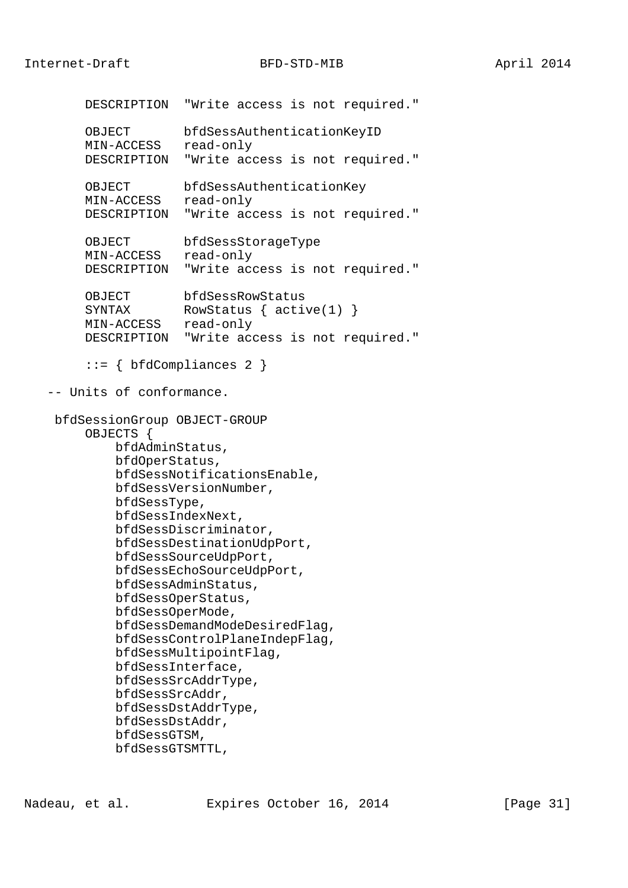Internet-Draft BFD-STD-MIB April 2014

 DESCRIPTION "Write access is not required." OBJECT bfdSessAuthenticationKeyID MIN-ACCESS read-only DESCRIPTION "Write access is not required." OBJECT bfdSessAuthenticationKey MIN-ACCESS read-only DESCRIPTION "Write access is not required." OBJECT bfdSessStorageType MIN-ACCESS read-only DESCRIPTION "Write access is not required." OBJECT bfdSessRowStatus SYNTAX RowStatus { active(1) } MIN-ACCESS read-only DESCRIPTION "Write access is not required." ::= { bfdCompliances 2 } -- Units of conformance. bfdSessionGroup OBJECT-GROUP OBJECTS { bfdAdminStatus, bfdOperStatus, bfdSessNotificationsEnable, bfdSessVersionNumber, bfdSessType, bfdSessIndexNext, bfdSessDiscriminator, bfdSessDestinationUdpPort, bfdSessSourceUdpPort, bfdSessEchoSourceUdpPort, bfdSessAdminStatus, bfdSessOperStatus, bfdSessOperMode, bfdSessDemandModeDesiredFlag, bfdSessControlPlaneIndepFlag, bfdSessMultipointFlag, bfdSessInterface, bfdSessSrcAddrType, bfdSessSrcAddr, bfdSessDstAddrType, bfdSessDstAddr, bfdSessGTSM, bfdSessGTSMTTL,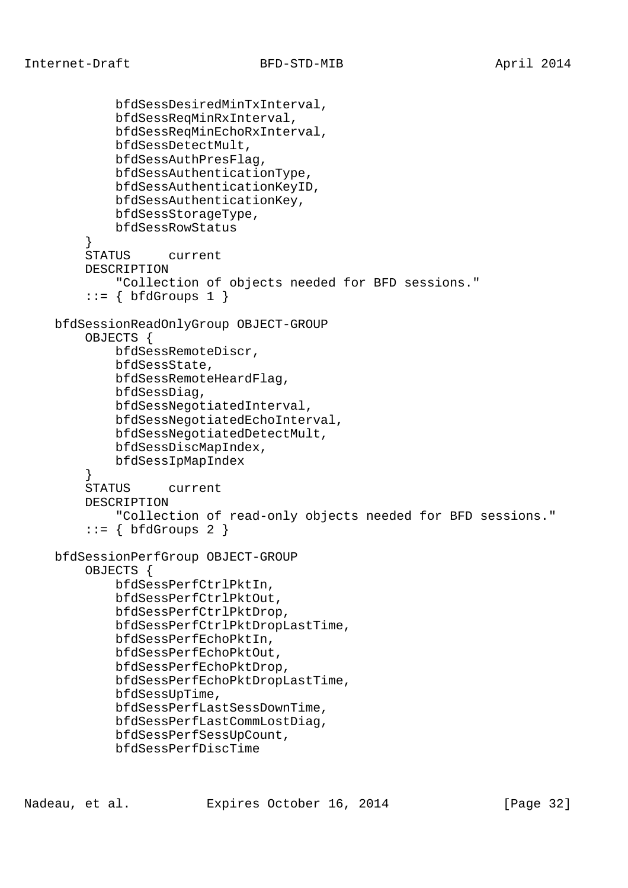```
 bfdSessDesiredMinTxInterval,
             bfdSessReqMinRxInterval,
             bfdSessReqMinEchoRxInterval,
             bfdSessDetectMult,
             bfdSessAuthPresFlag,
             bfdSessAuthenticationType,
             bfdSessAuthenticationKeyID,
             bfdSessAuthenticationKey,
             bfdSessStorageType,
             bfdSessRowStatus
 }
         STATUS current
         DESCRIPTION
             "Collection of objects needed for BFD sessions."
        ::= \{ \text{bfGrows 1} \} bfdSessionReadOnlyGroup OBJECT-GROUP
         OBJECTS {
             bfdSessRemoteDiscr,
             bfdSessState,
             bfdSessRemoteHeardFlag,
             bfdSessDiag,
             bfdSessNegotiatedInterval,
             bfdSessNegotiatedEchoInterval,
             bfdSessNegotiatedDetectMult,
             bfdSessDiscMapIndex,
             bfdSessIpMapIndex
         }
         STATUS current
         DESCRIPTION
             "Collection of read-only objects needed for BFD sessions."
        ::= \{ bfdGroups 2 \} bfdSessionPerfGroup OBJECT-GROUP
         OBJECTS {
             bfdSessPerfCtrlPktIn,
             bfdSessPerfCtrlPktOut,
             bfdSessPerfCtrlPktDrop,
             bfdSessPerfCtrlPktDropLastTime,
             bfdSessPerfEchoPktIn,
             bfdSessPerfEchoPktOut,
             bfdSessPerfEchoPktDrop,
             bfdSessPerfEchoPktDropLastTime,
             bfdSessUpTime,
             bfdSessPerfLastSessDownTime,
             bfdSessPerfLastCommLostDiag,
             bfdSessPerfSessUpCount,
             bfdSessPerfDiscTime
```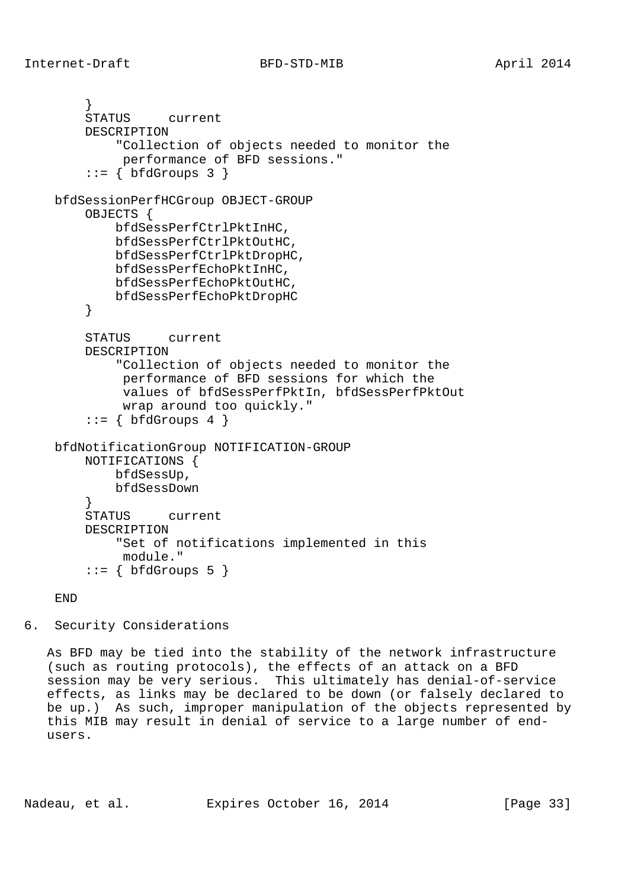```
 }
         STATUS current
         DESCRIPTION
             "Collection of objects needed to monitor the
              performance of BFD sessions."
        ::= { bfdGroups 3 }
    bfdSessionPerfHCGroup OBJECT-GROUP
         OBJECTS {
             bfdSessPerfCtrlPktInHC,
             bfdSessPerfCtrlPktOutHC,
             bfdSessPerfCtrlPktDropHC,
             bfdSessPerfEchoPktInHC,
             bfdSessPerfEchoPktOutHC,
             bfdSessPerfEchoPktDropHC
         }
         STATUS current
         DESCRIPTION
             "Collection of objects needed to monitor the
              performance of BFD sessions for which the
              values of bfdSessPerfPktIn, bfdSessPerfPktOut
             wrap around too quickly."
        ::= \{ \text{bfGrows } 4 \} bfdNotificationGroup NOTIFICATION-GROUP
         NOTIFICATIONS {
             bfdSessUp,
        bfdSessDown<br>}
 }
         STATUS current
         DESCRIPTION
             "Set of notifications implemented in this
             module."
        ::= { bfdGroups 5 }
```
## END

6. Security Considerations

 As BFD may be tied into the stability of the network infrastructure (such as routing protocols), the effects of an attack on a BFD session may be very serious. This ultimately has denial-of-service effects, as links may be declared to be down (or falsely declared to be up.) As such, improper manipulation of the objects represented by this MIB may result in denial of service to a large number of end users.

Nadeau, et al. **Expires October 16, 2014** [Page 33]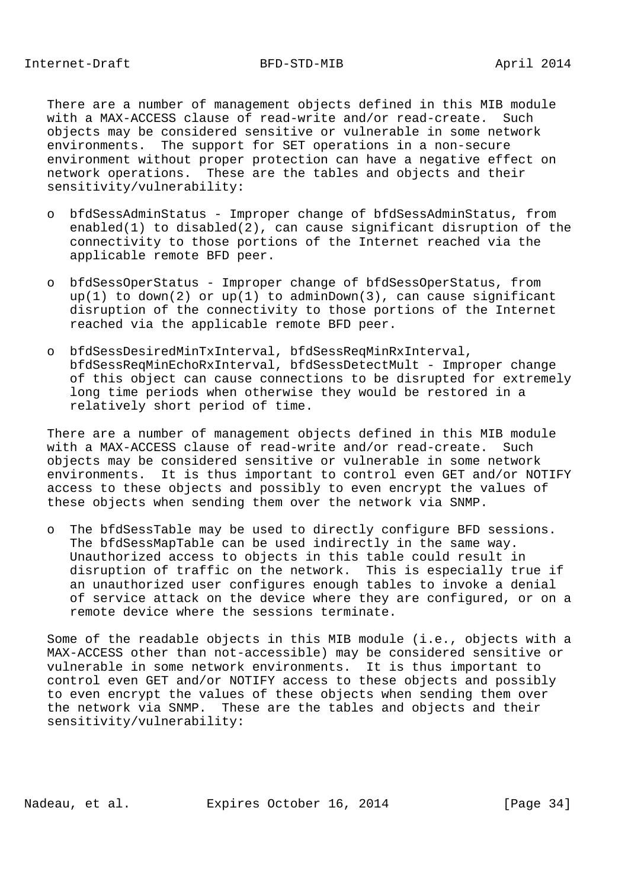There are a number of management objects defined in this MIB module with a MAX-ACCESS clause of read-write and/or read-create. Such objects may be considered sensitive or vulnerable in some network environments. The support for SET operations in a non-secure environment without proper protection can have a negative effect on network operations. These are the tables and objects and their sensitivity/vulnerability:

- o bfdSessAdminStatus Improper change of bfdSessAdminStatus, from enabled(1) to disabled(2), can cause significant disruption of the connectivity to those portions of the Internet reached via the applicable remote BFD peer.
- o bfdSessOperStatus Improper change of bfdSessOperStatus, from  $up(1)$  to down(2) or  $up(1)$  to adminDown(3), can cause significant disruption of the connectivity to those portions of the Internet reached via the applicable remote BFD peer.
- o bfdSessDesiredMinTxInterval, bfdSessReqMinRxInterval, bfdSessReqMinEchoRxInterval, bfdSessDetectMult - Improper change of this object can cause connections to be disrupted for extremely long time periods when otherwise they would be restored in a relatively short period of time.

 There are a number of management objects defined in this MIB module with a MAX-ACCESS clause of read-write and/or read-create. Such objects may be considered sensitive or vulnerable in some network environments. It is thus important to control even GET and/or NOTIFY access to these objects and possibly to even encrypt the values of these objects when sending them over the network via SNMP.

 o The bfdSessTable may be used to directly configure BFD sessions. The bfdSessMapTable can be used indirectly in the same way. Unauthorized access to objects in this table could result in disruption of traffic on the network. This is especially true if an unauthorized user configures enough tables to invoke a denial of service attack on the device where they are configured, or on a remote device where the sessions terminate.

 Some of the readable objects in this MIB module (i.e., objects with a MAX-ACCESS other than not-accessible) may be considered sensitive or vulnerable in some network environments. It is thus important to control even GET and/or NOTIFY access to these objects and possibly to even encrypt the values of these objects when sending them over the network via SNMP. These are the tables and objects and their sensitivity/vulnerability:

Nadeau, et al. Expires October 16, 2014 [Page 34]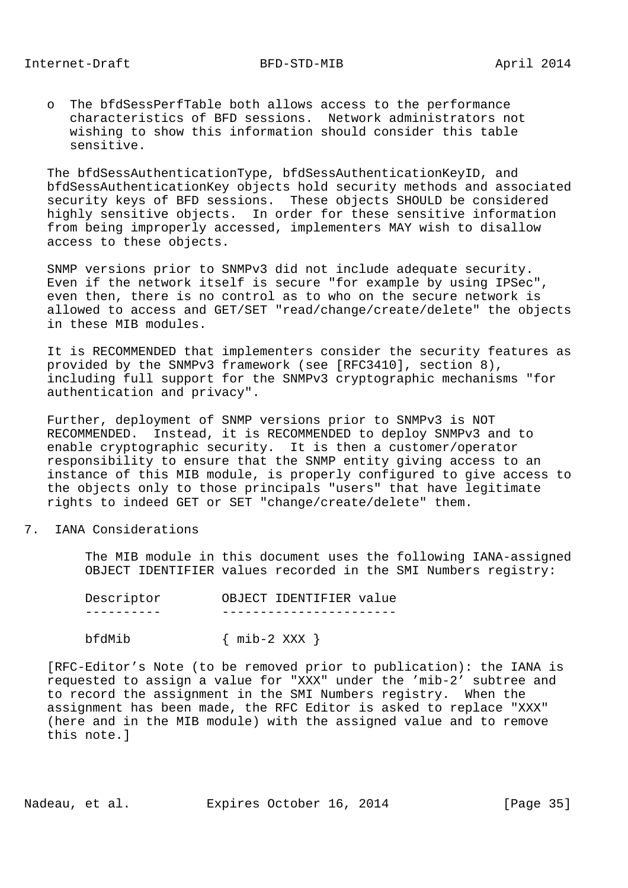o The bfdSessPerfTable both allows access to the performance characteristics of BFD sessions. Network administrators not wishing to show this information should consider this table sensitive.

 The bfdSessAuthenticationType, bfdSessAuthenticationKeyID, and bfdSessAuthenticationKey objects hold security methods and associated security keys of BFD sessions. These objects SHOULD be considered highly sensitive objects. In order for these sensitive information from being improperly accessed, implementers MAY wish to disallow access to these objects.

 SNMP versions prior to SNMPv3 did not include adequate security. Even if the network itself is secure "for example by using IPSec", even then, there is no control as to who on the secure network is allowed to access and GET/SET "read/change/create/delete" the objects in these MIB modules.

 It is RECOMMENDED that implementers consider the security features as provided by the SNMPv3 framework (see [RFC3410], section 8), including full support for the SNMPv3 cryptographic mechanisms "for authentication and privacy".

 Further, deployment of SNMP versions prior to SNMPv3 is NOT RECOMMENDED. Instead, it is RECOMMENDED to deploy SNMPv3 and to enable cryptographic security. It is then a customer/operator responsibility to ensure that the SNMP entity giving access to an instance of this MIB module, is properly configured to give access to the objects only to those principals "users" that have legitimate rights to indeed GET or SET "change/create/delete" them.

7. IANA Considerations

 The MIB module in this document uses the following IANA-assigned OBJECT IDENTIFIER values recorded in the SMI Numbers registry:

| Descriptor | OBJECT IDENTIFIER value |
|------------|-------------------------|
|            |                         |
|            |                         |

 $bf{dMib}$  { mib-2 XXX }

 [RFC-Editor's Note (to be removed prior to publication): the IANA is requested to assign a value for "XXX" under the 'mib-2' subtree and to record the assignment in the SMI Numbers registry. When the assignment has been made, the RFC Editor is asked to replace "XXX" (here and in the MIB module) with the assigned value and to remove this note.]

Nadeau, et al. **Expires October 16, 2014** [Page 35]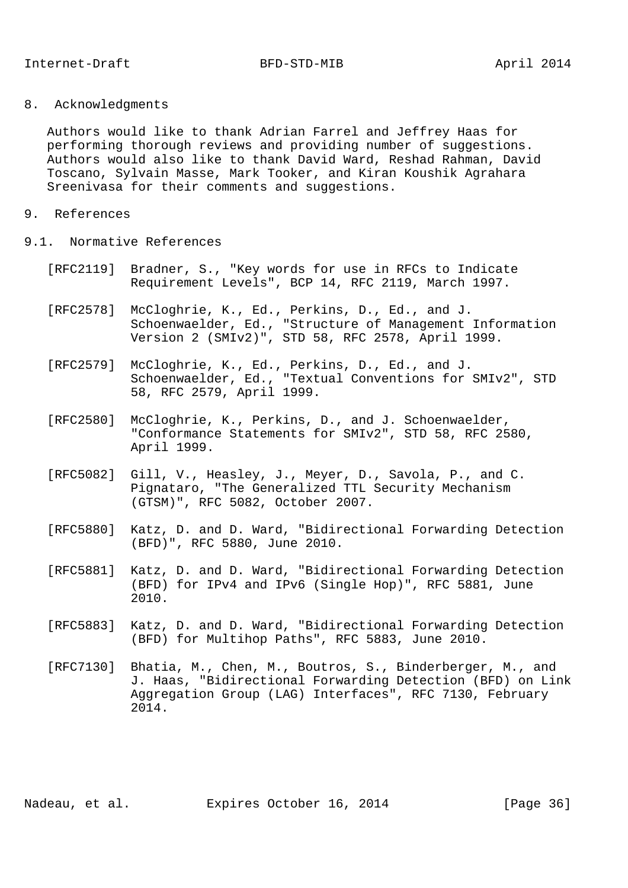8. Acknowledgments

 Authors would like to thank Adrian Farrel and Jeffrey Haas for performing thorough reviews and providing number of suggestions. Authors would also like to thank David Ward, Reshad Rahman, David Toscano, Sylvain Masse, Mark Tooker, and Kiran Koushik Agrahara Sreenivasa for their comments and suggestions.

- 9. References
- 9.1. Normative References
	- [RFC2119] Bradner, S., "Key words for use in RFCs to Indicate Requirement Levels", BCP 14, RFC 2119, March 1997.
	- [RFC2578] McCloghrie, K., Ed., Perkins, D., Ed., and J. Schoenwaelder, Ed., "Structure of Management Information Version 2 (SMIv2)", STD 58, RFC 2578, April 1999.
	- [RFC2579] McCloghrie, K., Ed., Perkins, D., Ed., and J. Schoenwaelder, Ed., "Textual Conventions for SMIv2", STD 58, RFC 2579, April 1999.
	- [RFC2580] McCloghrie, K., Perkins, D., and J. Schoenwaelder, "Conformance Statements for SMIv2", STD 58, RFC 2580, April 1999.
	- [RFC5082] Gill, V., Heasley, J., Meyer, D., Savola, P., and C. Pignataro, "The Generalized TTL Security Mechanism (GTSM)", RFC 5082, October 2007.
	- [RFC5880] Katz, D. and D. Ward, "Bidirectional Forwarding Detection (BFD)", RFC 5880, June 2010.
	- [RFC5881] Katz, D. and D. Ward, "Bidirectional Forwarding Detection (BFD) for IPv4 and IPv6 (Single Hop)", RFC 5881, June 2010.
	- [RFC5883] Katz, D. and D. Ward, "Bidirectional Forwarding Detection (BFD) for Multihop Paths", RFC 5883, June 2010.
	- [RFC7130] Bhatia, M., Chen, M., Boutros, S., Binderberger, M., and J. Haas, "Bidirectional Forwarding Detection (BFD) on Link Aggregation Group (LAG) Interfaces", RFC 7130, February 2014.

Nadeau, et al. **Expires October 16, 2014** [Page 36]